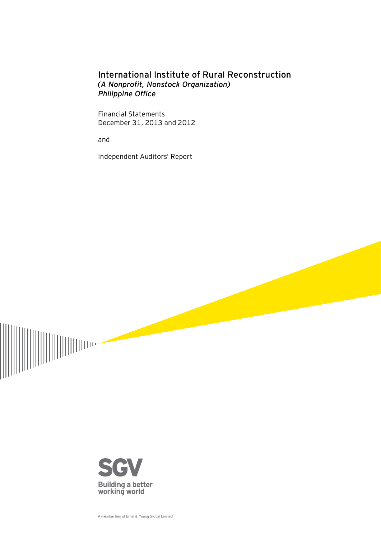## International Institute of Rural Reconstruction *(A Nonprofit, Nonstock Organization) Philippine Office*

Financial Statements December 31, 2013 and 2012

and

Independent Auditors' Report





A member firm of Ernst & Young Global Limited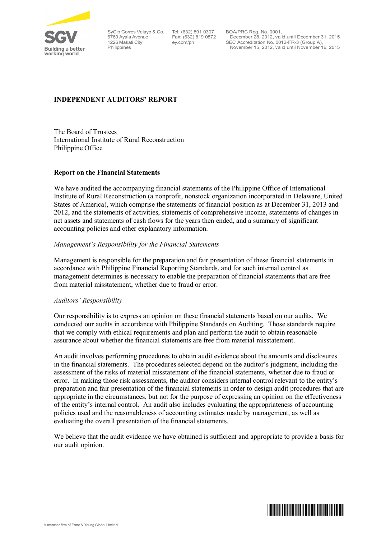

SyCip Gorres Velayo & Co. 6760 Ayala Avenue 1226 Makati City Philippines

Tel: (632) 891 0307 Fax: (632) 819 0872 ey.com/ph

BOA/PRC Reg. No. 0001, December 28, 2012, valid until December 31, 2015 SEC Accreditation No. 0012-FR-3 (Group A), November 15, 2012, valid until November 16, 2015

## **INDEPENDENT AUDITORS' REPORT**

The Board of Trustees International Institute of Rural Reconstruction Philippine Office

#### **Report on the Financial Statements**

We have audited the accompanying financial statements of the Philippine Office of International Institute of Rural Reconstruction (a nonprofit, nonstock organization incorporated in Delaware, United States of America), which comprise the statements of financial position as at December 31, 2013 and 2012, and the statements of activities, statements of comprehensive income, statements of changes in net assets and statements of cash flows for the years then ended, and a summary of significant accounting policies and other explanatory information.

#### *Management's Responsibility for the Financial Statements*

Management is responsible for the preparation and fair presentation of these financial statements in accordance with Philippine Financial Reporting Standards, and for such internal control as management determines is necessary to enable the preparation of financial statements that are free from material misstatement, whether due to fraud or error.

#### *Auditors' Responsibility*

Our responsibility is to express an opinion on these financial statements based on our audits. We conducted our audits in accordance with Philippine Standards on Auditing. Those standards require that we comply with ethical requirements and plan and perform the audit to obtain reasonable assurance about whether the financial statements are free from material misstatement.

An audit involves performing procedures to obtain audit evidence about the amounts and disclosures in the financial statements. The procedures selected depend on the auditor's judgment, including the assessment of the risks of material misstatement of the financial statements, whether due to fraud or error. In making those risk assessments, the auditor considers internal control relevant to the entity's preparation and fair presentation of the financial statements in order to design audit procedures that are appropriate in the circumstances, but not for the purpose of expressing an opinion on the effectiveness of the entity's internal control. An audit also includes evaluating the appropriateness of accounting policies used and the reasonableness of accounting estimates made by management, as well as evaluating the overall presentation of the financial statements.

We believe that the audit evidence we have obtained is sufficient and appropriate to provide a basis for our audit opinion.

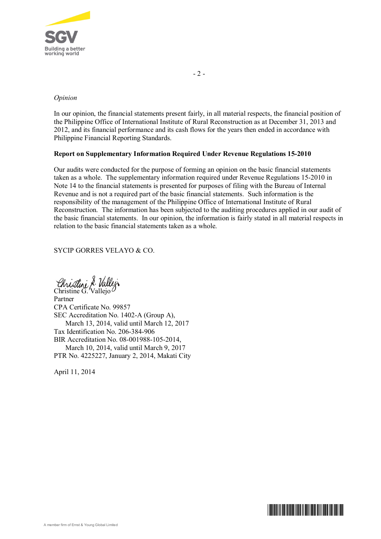

#### *Opinion*

In our opinion, the financial statements present fairly, in all material respects, the financial position of the Philippine Office of International Institute of Rural Reconstruction as at December 31, 2013 and 2012, and its financial performance and its cash flows for the years then ended in accordance with Philippine Financial Reporting Standards.

### **Report on Supplementary Information Required Under Revenue Regulations 15-2010**

Our audits were conducted for the purpose of forming an opinion on the basic financial statements taken as a whole. The supplementary information required under Revenue Regulations 15-2010 in Note 14 to the financial statements is presented for purposes of filing with the Bureau of Internal Revenue and is not a required part of the basic financial statements. Such information is the responsibility of the management of the Philippine Office of International Institute of Rural Reconstruction. The information has been subjected to the auditing procedures applied in our audit of the basic financial statements. In our opinion, the information is fairly stated in all material respects in relation to the basic financial statements taken as a whole.

SYCIP GORRES VELAYO & CO.

Christine G. Vallejo

Partner CPA Certificate No. 99857 SEC Accreditation No. 1402-A (Group A), March 13, 2014, valid until March 12, 2017 Tax Identification No. 206-384-906 BIR Accreditation No. 08-001988-105-2014, March 10, 2014, valid until March 9, 2017 PTR No. 4225227, January 2, 2014, Makati City

April 11, 2014

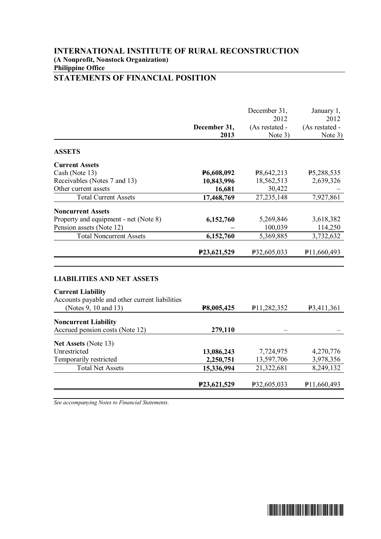## **INTERNATIONAL INSTITUTE OF RURAL RECONSTRUCTION (A Nonprofit, Nonstock Organization) Philippine Office STATEMENTS OF FINANCIAL POSITION**

|                                                                                                                 | December 31,<br>2013 | December 31,<br>2012<br>(As restated -<br>Note 3) | January 1,<br>2012<br>(As restated -<br>Note 3) |
|-----------------------------------------------------------------------------------------------------------------|----------------------|---------------------------------------------------|-------------------------------------------------|
| <b>ASSETS</b>                                                                                                   |                      |                                                   |                                                 |
| <b>Current Assets</b>                                                                                           |                      |                                                   |                                                 |
| Cash (Note 13)                                                                                                  | P6,608,092           | P <sub>8</sub> ,642,213                           | P <sub>5</sub> ,288,535                         |
| Receivables (Notes 7 and 13)                                                                                    | 10,843,996           | 18,562,513                                        | 2,639,326                                       |
| Other current assets                                                                                            | 16,681               | 30,422                                            |                                                 |
| <b>Total Current Assets</b>                                                                                     | 17,468,769           | 27, 235, 148                                      | 7,927,861                                       |
| <b>Noncurrent Assets</b>                                                                                        |                      |                                                   |                                                 |
| Property and equipment - net (Note 8)                                                                           | 6,152,760            | 5,269,846                                         | 3,618,382                                       |
| Pension assets (Note 12)                                                                                        |                      | 100,039                                           | 114,250                                         |
| <b>Total Noncurrent Assets</b>                                                                                  | 6,152,760            | 5,369,885                                         | 3,732,632                                       |
|                                                                                                                 | P23,621,529          | P32,605,033                                       | P11,660,493                                     |
| <b>LIABILITIES AND NET ASSETS</b><br><b>Current Liability</b><br>Accounts payable and other current liabilities |                      |                                                   |                                                 |
| (Notes 9, 10 and 13)                                                                                            | P8,005,425           | P11,282,352                                       | P <sub>3</sub> ,411,361                         |
|                                                                                                                 |                      |                                                   |                                                 |

| $(11000 \times 10000)$                                         | 1000000720  | 11.404,334  | 1, 1, 1, 0, 1 |
|----------------------------------------------------------------|-------------|-------------|---------------|
| <b>Noncurrent Liability</b><br>Accrued pension costs (Note 12) | 279,110     |             |               |
|                                                                |             |             |               |
| Net Assets (Note 13)                                           |             |             |               |
| Unrestricted                                                   | 13,086,243  | 7,724,975   | 4,270,776     |
| Temporarily restricted                                         | 2,250,751   | 13,597,706  | 3,978,356     |
| <b>Total Net Assets</b>                                        | 15,336,994  | 21,322,681  | 8,249,132     |
|                                                                |             |             |               |
|                                                                | P23,621,529 | P32,605,033 | P11,660,493   |

*See accompanying Notes to Financial Statements.*

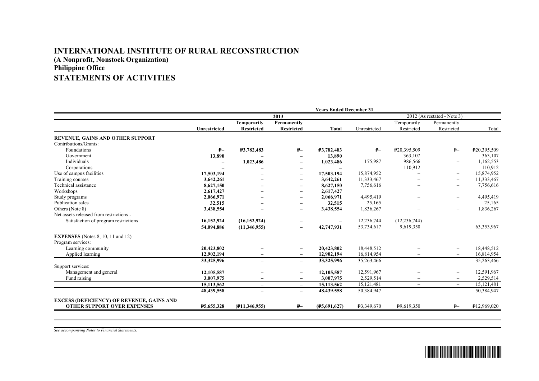# **INTERNATIONAL INSTITUTE OF RURAL RECONSTRUCTION**

**(A Nonprofit, Nonstock Organization)**

## **Philippine Office**

## **STATEMENTS OF ACTIVITIES**

|                                                  | <b>Years Ended December 31</b> |                                  |                                  |                          |              |                           |                             |                         |  |
|--------------------------------------------------|--------------------------------|----------------------------------|----------------------------------|--------------------------|--------------|---------------------------|-----------------------------|-------------------------|--|
|                                                  |                                | 2013                             |                                  |                          |              |                           | 2012 (As restated - Note 3) |                         |  |
|                                                  | Unrestricted                   | <b>Temporarily</b><br>Restricted | Permanently<br><b>Restricted</b> | <b>Total</b>             | Unrestricted | Temporarily<br>Restricted | Permanently<br>Restricted   | Total                   |  |
| REVENUE, GAINS AND OTHER SUPPORT                 |                                |                                  |                                  |                          |              |                           |                             |                         |  |
| Contributions/Grants:                            |                                |                                  |                                  |                          |              |                           |                             |                         |  |
| Foundations                                      | $P-$                           | <b>P3,782,483</b>                | $P-$                             | P3,782,483               | $P-$         | P20,395,509               | $P-$                        | P20,395,509             |  |
| Government                                       | 13,890                         |                                  |                                  | 13,890                   |              | 363.107                   | $\overline{\phantom{a}}$    | 363,107                 |  |
| Individuals                                      |                                | 1,023,486                        |                                  | 1,023,486                | 175,987      | 986.566                   | $\overline{\phantom{a}}$    | 1,162,553               |  |
| Corporations                                     |                                |                                  | $\overline{\phantom{a}}$         | $\overline{\phantom{0}}$ |              | 110,912                   | $\overline{\phantom{0}}$    | 110,912                 |  |
| Use of campus facilities                         | 17,503,194                     |                                  | $\overline{\phantom{m}}$         | 17,503,194               | 15,874,952   |                           | $\overline{\phantom{0}}$    | 15,874,952              |  |
| Training courses                                 | 3,642,261                      |                                  | $\overline{\phantom{0}}$         | 3,642,261                | 11,333,467   |                           | $\overline{\phantom{0}}$    | 11,333,467              |  |
| Technical assistance                             | 8,627,150                      |                                  |                                  | 8,627,150                | 7,756,616    |                           | $\overline{\phantom{0}}$    | 7,756,616               |  |
| Workshops                                        | 2,617,427                      |                                  |                                  | 2,617,427                |              |                           |                             |                         |  |
| Study programs                                   | 2,066,971                      |                                  | $\overline{\phantom{0}}$         | 2,066,971                | 4,495,419    |                           | $\overline{\phantom{a}}$    | 4,495,419               |  |
| Publication sales                                | 32,515                         |                                  |                                  | 32,515                   | 25,165       |                           | $\overline{\phantom{0}}$    | 25,165                  |  |
| Others (Note 8)                                  | 3,438,554                      |                                  | -                                | 3,438,554                | 1,836,267    |                           | ÷                           | 1,836,267               |  |
| Net assets released from restrictions -          |                                |                                  |                                  |                          |              |                           |                             |                         |  |
| Satisfaction of program restrictions             | 16.152.924                     | (16, 152, 924)                   | $\overline{\phantom{m}}$         | $\overline{\phantom{m}}$ | 12,236,744   | (12, 236, 744)            | $\qquad \qquad -$           |                         |  |
|                                                  | 54,094,886                     | (11,346,955)                     | $\overline{\phantom{0}}$         | 42,747,931               | 53,734,617   | 9,619,350                 | $\overline{\phantom{m}}$    | 63,353,967              |  |
| <b>EXPENSES</b> (Notes 8, 10, 11 and 12)         |                                |                                  |                                  |                          |              |                           |                             |                         |  |
| Program services:                                |                                |                                  |                                  |                          |              |                           |                             |                         |  |
| Learning community                               | 20.423.802                     |                                  | $\qquad \qquad -$                | 20,423,802               | 18,448,512   |                           | $\overline{\phantom{m}}$    | 18,448,512              |  |
| Applied learning                                 | 12,902,194                     |                                  | $\overline{\phantom{m}}$         | 12,902,194               | 16,814,954   |                           | $\overline{\phantom{a}}$    | 16,814,954              |  |
|                                                  | 33,325,996                     | $\overline{\phantom{0}}$         | $\overline{\phantom{a}}$         | 33,325,996               | 35,263,466   | $\overline{\phantom{0}}$  | $\overline{\phantom{a}}$    | 35,263,466              |  |
| Support services:                                |                                |                                  |                                  |                          |              |                           |                             |                         |  |
| Management and general                           | 12,105,587                     |                                  | $\overline{\phantom{0}}$         | 12,105,587               | 12,591,967   |                           | $\qquad \qquad -$           | 12,591,967              |  |
| Fund raising                                     | 3,007,975                      | $\overline{\phantom{0}}$         | $\overline{\phantom{0}}$         | 3,007,975                | 2,529,514    |                           |                             | 2,529,514               |  |
|                                                  | 15,113,562                     | $\overline{\phantom{0}}$         | $\overline{\phantom{m}}$         | 15,113,562               | 15,121,481   | $\overline{\phantom{a}}$  | $\overline{\phantom{a}}$    | 15,121,481              |  |
|                                                  | 48,439,558                     | $\equiv$                         | $\equiv$                         | 48,439,558               | 50,384,947   | $\overline{\phantom{a}}$  | $\overline{\phantom{a}}$    | 50,384,947              |  |
| <b>EXCESS (DEFICIENCY) OF REVENUE, GAINS AND</b> |                                |                                  |                                  |                          |              |                           |                             |                         |  |
| <b>OTHER SUPPORT OVER EXPENSES</b>               | P5,655,328                     | (F11, 346, 955)                  | $P-$                             | (F5,691,627)             | P3,349,670   | P9,619,350                | $P-$                        | P <sub>12,969,020</sub> |  |

*See accompanying Notes to Financial Statements.*

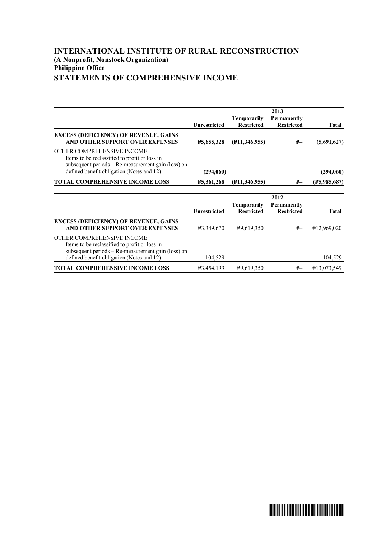## **INTERNATIONAL INSTITUTE OF RURAL RECONSTRUCTION (A Nonprofit, Nonstock Organization) Philippine Office STATEMENTS OF COMPREHENSIVE INCOME**

|                                                                                                                                                                                |                         |                                  | 2013                                    |                          |
|--------------------------------------------------------------------------------------------------------------------------------------------------------------------------------|-------------------------|----------------------------------|-----------------------------------------|--------------------------|
|                                                                                                                                                                                | <b>Unrestricted</b>     | Temporarily<br><b>Restricted</b> | Permanently<br><b>Restricted</b>        | Total                    |
| <b>EXCESS (DEFICIENCY) OF REVENUE, GAINS</b><br>AND OTHER SUPPORT OVER EXPENSES                                                                                                | P5,655,328              | $($ P11,346,955)                 | ₽—                                      | (5,691,627)              |
| OTHER COMPREHENSIVE INCOME<br>Items to be reclassified to profit or loss in<br>subsequent periods – Re-measurement gain (loss) on<br>defined benefit obligation (Notes and 12) | (294,060)               |                                  |                                         | (294,060)                |
| TOTAL COMPREHENSIVE INCOME LOSS                                                                                                                                                | <b>P5,361,268</b>       | (F11, 346, 955)                  | $P-$                                    | (F5,985,687)             |
|                                                                                                                                                                                |                         |                                  |                                         |                          |
|                                                                                                                                                                                |                         |                                  | 2012                                    |                          |
|                                                                                                                                                                                | <b>Unrestricted</b>     | Temporarily<br><b>Restricted</b> | <b>Permanently</b><br><b>Restricted</b> | <b>Total</b>             |
| <b>EXCESS (DEFICIENCY) OF REVENUE, GAINS</b><br>AND OTHER SUPPORT OVER EXPENSES                                                                                                | P3,349,670              | P <sub>9.619</sub> , 350         | P                                       | P <sub>12,969,020</sub>  |
| OTHER COMPREHENSIVE INCOME<br>Items to be reclassified to profit or loss in<br>subsequent periods – Re-measurement gain (loss) on                                              |                         |                                  |                                         |                          |
| defined benefit obligation (Notes and 12)                                                                                                                                      | 104,529                 |                                  |                                         | 104,529                  |
| <b>TOTAL COMPREHENSIVE INCOME LOSS</b>                                                                                                                                         | P <sub>3</sub> ,454,199 | P <sub>9.619</sub> , 350         | P                                       | P <sub>13</sub> ,073,549 |

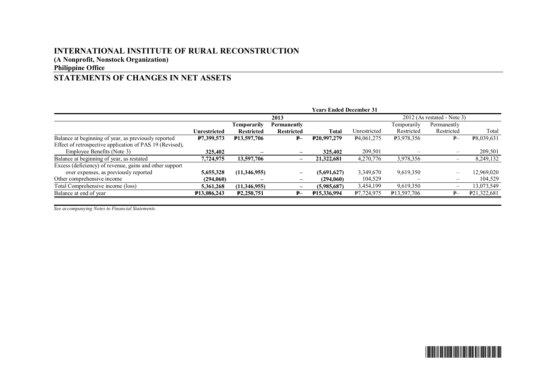# **INTERNATIONAL INSTITUTE OF RURAL RECONSTRUCTION**

**(A Nonprofit, Nonstock Organization)**

**Philippine Office**

# **STATEMENTS OF CHANGES IN NET ASSETS**

|                                                          | <b>Years Ended December 31</b> |                         |                              |                            |                         |                            |                               |             |
|----------------------------------------------------------|--------------------------------|-------------------------|------------------------------|----------------------------|-------------------------|----------------------------|-------------------------------|-------------|
|                                                          |                                |                         | 2013                         |                            |                         |                            | $2012$ (As restated - Note 3) |             |
|                                                          |                                | Temporarily             | Permanently                  |                            |                         | Temporarily                | Permanently                   |             |
|                                                          | <b>Unrestricted</b>            | <b>Restricted</b>       | <b>Restricted</b>            | Total                      | Unrestricted            | Restricted                 | Restricted                    | Total       |
| Balance at beginning of year, as previously reported     | P7,399,573                     | <b>P13,597,706</b>      | ₽–                           | P <sub>20</sub> ,997,279   | P <sub>4</sub> ,061,275 | <b>P3,978,356</b>          | P                             | P8,039,631  |
| Effect of retrospective application of PAS 19 (Revised), |                                |                         |                              |                            |                         |                            |                               |             |
| Employee Benefits (Note 3)                               | 325,402                        |                         | $\overline{\phantom{0}}$     | 325,402                    | 209,501                 |                            | $\overline{\phantom{m}}$      | 209,501     |
| Balance at beginning of year, as restated                | 7,724,975                      | 13,597,706              |                              | 21,322,681                 | 4,270,776               | 3,978,356                  |                               | 8,249,132   |
| Excess (deficiency) of revenue, gains and other support  |                                |                         |                              |                            |                         |                            |                               |             |
| over expenses, as previously reported                    | 5,655,328                      | (11,346,955)            | $\overline{\phantom{m}}$     | (5.691.627)                | 3,349,670               | 9,619,350                  | $\overline{\phantom{0}}$      | 12,969,020  |
| Other comprehensive income                               | (294,060)                      |                         | $\qquad \qquad \blacksquare$ | (294.060)                  | 104,529                 |                            | $\qquad \qquad$               | 104,529     |
| Total Comprehensive income (loss)                        | 5,361,268                      | (11,346,955)            | $\overline{\phantom{0}}$     | (5,985,687)                | 3,454,199               | 9,619,350                  | -                             | 13,073,549  |
| Balance at end of year                                   | P <sub>13</sub> ,086,243       | P <sub>2</sub> ,250,751 | ₽–                           | P <sub>15</sub> , 336, 994 | P7,724,975              | P <sub>13</sub> , 597, 706 | $\mathbf{P}$                  | P21,322,681 |
|                                                          |                                |                         |                              |                            |                         |                            |                               |             |

*See accompanying Notes to Financial Statements.*

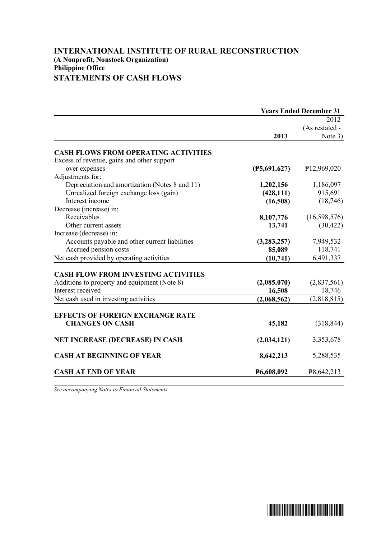## **INTERNATIONAL INSTITUTE OF RURAL RECONSTRUCTION (A Nonprofit, Nonstock Organization) Philippine Office STATEMENTS OF CASH FLOWS**

|                                                                   | <b>Years Ended December 31</b> |                         |  |
|-------------------------------------------------------------------|--------------------------------|-------------------------|--|
|                                                                   |                                | 2012                    |  |
|                                                                   |                                | (As restated -          |  |
|                                                                   | 2013                           | Note 3)                 |  |
| <b>CASH FLOWS FROM OPERATING ACTIVITIES</b>                       |                                |                         |  |
| Excess of revenue, gains and other support                        |                                |                         |  |
| over expenses                                                     | (F5,691,627)                   | P <sub>12,969,020</sub> |  |
| Adjustments for:                                                  |                                |                         |  |
| Depreciation and amortization (Notes 8 and 11)                    | 1,202,156                      | 1,186,097               |  |
| Unrealized foreign exchange loss (gain)                           | (428, 111)                     | 915,691                 |  |
| Interest income                                                   | (16,508)                       | (18, 746)               |  |
| Decrease (increase) in:                                           |                                |                         |  |
| Receivables                                                       | 8,107,776                      | (16,598,576)            |  |
| Other current assets                                              | 13,741                         | (30, 422)               |  |
| Increase (decrease) in:                                           |                                |                         |  |
| Accounts payable and other current liabilities                    | (3, 283, 257)                  | 7,949,532               |  |
| Accrued pension costs                                             | 85,089                         | 118,741                 |  |
| Net cash provided by operating activities                         | (10, 741)                      | 6,491,337               |  |
|                                                                   |                                |                         |  |
| <b>CASH FLOW FROM INVESTING ACTIVITIES</b>                        |                                |                         |  |
| Additions to property and equipment (Note 8)<br>Interest received | (2,085,070)                    | (2,837,561)             |  |
|                                                                   | 16,508                         | 18,746                  |  |
| Net cash used in investing activities                             | (2,068,562)                    | (2,818,815)             |  |
| <b>EFFECTS OF FOREIGN EXCHANGE RATE</b>                           |                                |                         |  |
| <b>CHANGES ON CASH</b>                                            | 45,182                         | (318, 844)              |  |
|                                                                   |                                |                         |  |
| <b>NET INCREASE (DECREASE) IN CASH</b>                            | (2,034,121)                    | 3,353,678               |  |
| <b>CASH AT BEGINNING OF YEAR</b>                                  | 8,642,213                      | 5,288,535               |  |
| <b>CASH AT END OF YEAR</b>                                        | P6,608,092                     | P8,642,213              |  |
|                                                                   |                                |                         |  |

*See accompanying Notes to Financial Statements.*

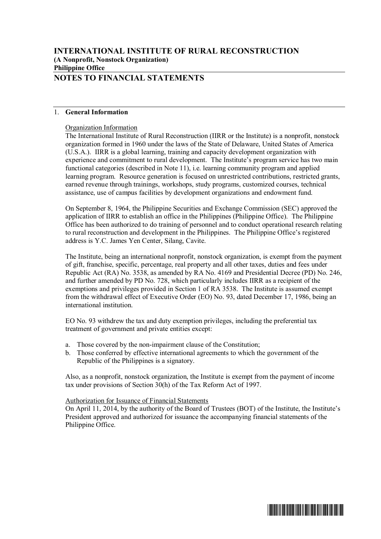## **INTERNATIONAL INSTITUTE OF RURAL RECONSTRUCTION (A Nonprofit, Nonstock Organization) Philippine Office NOTES TO FINANCIAL STATEMENTS**

#### 1. **General Information**

#### Organization Information

The International Institute of Rural Reconstruction (IIRR or the Institute) is a nonprofit, nonstock organization formed in 1960 under the laws of the State of Delaware, United States of America (U.S.A.). IIRR is a global learning, training and capacity development organization with experience and commitment to rural development. The Institute's program service has two main functional categories (described in Note 11), i.e. learning community program and applied learning program. Resource generation is focused on unrestricted contributions, restricted grants, earned revenue through trainings, workshops, study programs, customized courses, technical assistance, use of campus facilities by development organizations and endowment fund.

On September 8, 1964, the Philippine Securities and Exchange Commission (SEC) approved the application of IIRR to establish an office in the Philippines (Philippine Office). The Philippine Office has been authorized to do training of personnel and to conduct operational research relating to rural reconstruction and development in the Philippines. The Philippine Office's registered address is Y.C. James Yen Center, Silang, Cavite.

The Institute, being an international nonprofit, nonstock organization, is exempt from the payment of gift, franchise, specific, percentage, real property and all other taxes, duties and fees under Republic Act (RA) No. 3538, as amended by RA No. 4169 and Presidential Decree (PD) No. 246, and further amended by PD No. 728, which particularly includes IIRR as a recipient of the exemptions and privileges provided in Section 1 of RA 3538. The Institute is assumed exempt from the withdrawal effect of Executive Order (EO) No. 93, dated December 17, 1986, being an international institution.

EO No. 93 withdrew the tax and duty exemption privileges, including the preferential tax treatment of government and private entities except:

- a. Those covered by the non-impairment clause of the Constitution;
- b. Those conferred by effective international agreements to which the government of the Republic of the Philippines is a signatory.

Also, as a nonprofit, nonstock organization, the Institute is exempt from the payment of income tax under provisions of Section 30(h) of the Tax Reform Act of 1997.

#### Authorization for Issuance of Financial Statements

On April 11, 2014, by the authority of the Board of Trustees (BOT) of the Institute, the Institute's President approved and authorized for issuance the accompanying financial statements of the Philippine Office.

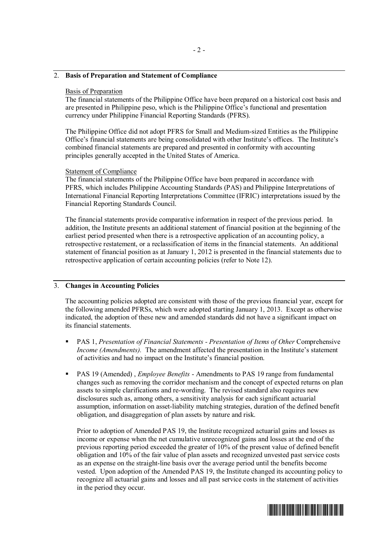#### 2. **Basis of Preparation and Statement of Compliance**

#### Basis of Preparation

The financial statements of the Philippine Office have been prepared on a historical cost basis and are presented in Philippine peso, which is the Philippine Office's functional and presentation currency under Philippine Financial Reporting Standards (PFRS).

The Philippine Office did not adopt PFRS for Small and Medium-sized Entities as the Philippine Office's financial statements are being consolidated with other Institute's offices. The Institute's combined financial statements are prepared and presented in conformity with accounting principles generally accepted in the United States of America.

#### Statement of Compliance

The financial statements of the Philippine Office have been prepared in accordance with PFRS, which includes Philippine Accounting Standards (PAS) and Philippine Interpretations of International Financial Reporting Interpretations Committee (IFRIC) interpretations issued by the Financial Reporting Standards Council.

The financial statements provide comparative information in respect of the previous period. In addition, the Institute presents an additional statement of financial position at the beginning of the earliest period presented when there is a retrospective application of an accounting policy, a retrospective restatement, or a reclassification of items in the financial statements. An additional statement of financial position as at January 1, 2012 is presented in the financial statements due to retrospective application of certain accounting policies (refer to Note 12).

#### 3. **Changes in Accounting Policies**

The accounting policies adopted are consistent with those of the previous financial year, except for the following amended PFRSs, which were adopted starting January 1, 2013. Except as otherwise indicated, the adoption of these new and amended standards did not have a significant impact on its financial statements.

- § PAS 1, *Presentation of Financial Statements Presentation of Items of Other* Comprehensive *Income (Amendments).* The amendment affected the presentation in the Institute's statement of activities and had no impact on the Institute's financial position.
- § PAS 19 (Amended) , *Employee Benefits* Amendments to PAS 19 range from fundamental changes such as removing the corridor mechanism and the concept of expected returns on plan assets to simple clarifications and re-wording. The revised standard also requires new disclosures such as, among others, a sensitivity analysis for each significant actuarial assumption, information on asset-liability matching strategies, duration of the defined benefit obligation, and disaggregation of plan assets by nature and risk.

Prior to adoption of Amended PAS 19, the Institute recognized actuarial gains and losses as income or expense when the net cumulative unrecognized gains and losses at the end of the previous reporting period exceeded the greater of 10% of the present value of defined benefit obligation and 10% of the fair value of plan assets and recognized unvested past service costs as an expense on the straight-line basis over the average period until the benefits become vested. Upon adoption of the Amended PAS 19, the Institute changed its accounting policy to recognize all actuarial gains and losses and all past service costs in the statement of activities in the period they occur.

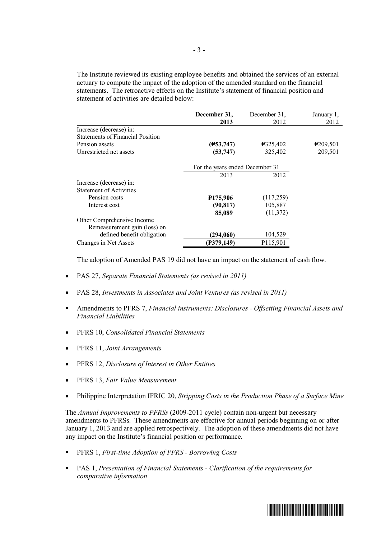The Institute reviewed its existing employee benefits and obtained the services of an external actuary to compute the impact of the adoption of the amended standard on the financial statements. The retroactive effects on the Institute's statement of financial position and statement of activities are detailed below:

|                                         | December 31,                    | December 31.         | January 1,           |
|-----------------------------------------|---------------------------------|----------------------|----------------------|
|                                         | 2013                            | 2012                 | 2012                 |
| Increase (decrease) in:                 |                                 |                      |                      |
| <b>Statements of Financial Position</b> |                                 |                      |                      |
| Pension assets                          | (F53, 747)                      | P325,402             | P <sub>209,501</sub> |
| Unrestricted net assets                 | (53, 747)                       | 325,402              | 209,501              |
|                                         | For the years ended December 31 |                      |                      |
|                                         | 2013                            | 2012                 |                      |
| Increase (decrease) in:                 |                                 |                      |                      |
| <b>Statement of Activities</b>          |                                 |                      |                      |
| Pension costs                           | <b>P175,906</b>                 | (117,259)            |                      |
| Interest cost                           | (90, 817)                       | 105,887              |                      |
|                                         | 85,089                          | (11, 372)            |                      |
| Other Comprehensive Income              |                                 |                      |                      |
| Remeasurement gain (loss) on            |                                 |                      |                      |
| defined benefit obligation              | (294,060)                       | 104,529              |                      |
| Changes in Net Assets                   | (F379, 149)                     | P <sub>115,901</sub> |                      |

The adoption of Amended PAS 19 did not have an impact on the statement of cash flow.

- · PAS 27, *Separate Financial Statements (as revised in 2011)*
- PAS 28, *Investments in Associates and Joint Ventures (as revised in 2011)*
- § Amendments to PFRS 7, *Financial instruments: Disclosures Offsetting Financial Assets and Financial Liabilities*
- · PFRS 10, *Consolidated Financial Statements*
- · PFRS 11, *Joint Arrangements*
- · PFRS 12, *Disclosure of Interest in Other Entities*
- · PFRS 13, *Fair Value Measurement*
- · Philippine Interpretation IFRIC 20, *Stripping Costs in the Production Phase of a Surface Mine*

The *Annual Improvements to PFRSs* (2009-2011 cycle) contain non-urgent but necessary amendments to PFRSs. These amendments are effective for annual periods beginning on or after January 1, 2013 and are applied retrospectively. The adoption of these amendments did not have any impact on the Institute's financial position or performance.

- § PFRS 1, *First-time Adoption of PFRS Borrowing Costs*
- § PAS 1, *Presentation of Financial Statements Clarification of the requirements for comparative information*

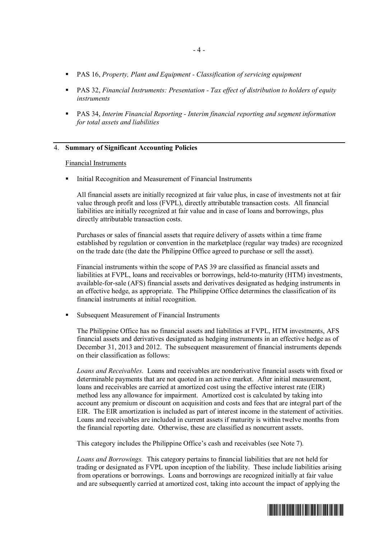- § PAS 16, *Property, Plant and Equipment Classification of servicing equipment*
- § PAS 32, *Financial Instruments: Presentation Tax effect of distribution to holders of equity instruments*
- PAS 34, *Interim Financial Reporting Interim financial reporting and segment information for total assets and liabilities*

#### 4. **Summary of Significant Accounting Policies**

#### Financial Instruments

§ Initial Recognition and Measurement of Financial Instruments

All financial assets are initially recognized at fair value plus, in case of investments not at fair value through profit and loss (FVPL), directly attributable transaction costs. All financial liabilities are initially recognized at fair value and in case of loans and borrowings, plus directly attributable transaction costs.

Purchases or sales of financial assets that require delivery of assets within a time frame established by regulation or convention in the marketplace (regular way trades) are recognized on the trade date (the date the Philippine Office agreed to purchase or sell the asset).

Financial instruments within the scope of PAS 39 are classified as financial assets and liabilities at FVPL, loans and receivables or borrowings, held-to-maturity (HTM) investments, available-for-sale (AFS) financial assets and derivatives designated as hedging instruments in an effective hedge, as appropriate. The Philippine Office determines the classification of its financial instruments at initial recognition.

§ Subsequent Measurement of Financial Instruments

The Philippine Office has no financial assets and liabilities at FVPL, HTM investments, AFS financial assets and derivatives designated as hedging instruments in an effective hedge as of December 31, 2013 and 2012. The subsequent measurement of financial instruments depends on their classification as follows:

*Loans and Receivables.* Loans and receivables are nonderivative financial assets with fixed or determinable payments that are not quoted in an active market. After initial measurement, loans and receivables are carried at amortized cost using the effective interest rate (EIR) method less any allowance for impairment. Amortized cost is calculated by taking into account any premium or discount on acquisition and costs and fees that are integral part of the EIR. The EIR amortization is included as part of interest income in the statement of activities. Loans and receivables are included in current assets if maturity is within twelve months from the financial reporting date. Otherwise, these are classified as noncurrent assets.

This category includes the Philippine Office's cash and receivables (see Note 7).

*Loans and Borrowings.* This category pertains to financial liabilities that are not held for trading or designated as FVPL upon inception of the liability. These include liabilities arising from operations or borrowings. Loans and borrowings are recognized initially at fair value and are subsequently carried at amortized cost, taking into account the impact of applying the

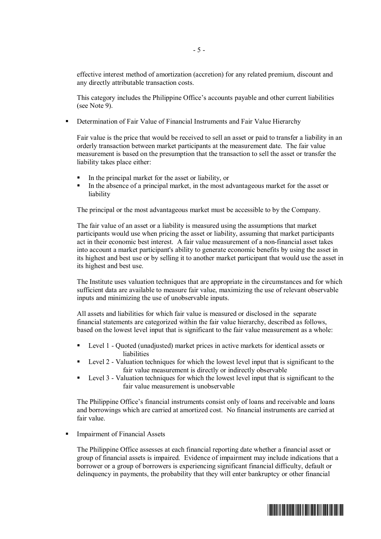effective interest method of amortization (accretion) for any related premium, discount and any directly attributable transaction costs.

This category includes the Philippine Office's accounts payable and other current liabilities (see Note 9).

Determination of Fair Value of Financial Instruments and Fair Value Hierarchy

Fair value is the price that would be received to sell an asset or paid to transfer a liability in an orderly transaction between market participants at the measurement date. The fair value measurement is based on the presumption that the transaction to sell the asset or transfer the liability takes place either:

- § In the principal market for the asset or liability, or
- In the absence of a principal market, in the most advantageous market for the asset or liability

The principal or the most advantageous market must be accessible to by the Company.

The fair value of an asset or a liability is measured using the assumptions that market participants would use when pricing the asset or liability, assuming that market participants act in their economic best interest. A fair value measurement of a non-financial asset takes into account a market participant's ability to generate economic benefits by using the asset in its highest and best use or by selling it to another market participant that would use the asset in its highest and best use.

The Institute uses valuation techniques that are appropriate in the circumstances and for which sufficient data are available to measure fair value, maximizing the use of relevant observable inputs and minimizing the use of unobservable inputs.

All assets and liabilities for which fair value is measured or disclosed in the separate financial statements are categorized within the fair value hierarchy, described as follows, based on the lowest level input that is significant to the fair value measurement as a whole:

- Level 1 Quoted (unadjusted) market prices in active markets for identical assets or liabilities
- Level 2 Valuation techniques for which the lowest level input that is significant to the fair value measurement is directly or indirectly observable
- Level 3 Valuation techniques for which the lowest level input that is significant to the fair value measurement is unobservable

The Philippine Office's financial instruments consist only of loans and receivable and loans and borrowings which are carried at amortized cost. No financial instruments are carried at fair value.

§ Impairment of Financial Assets

The Philippine Office assesses at each financial reporting date whether a financial asset or group of financial assets is impaired. Evidence of impairment may include indications that a borrower or a group of borrowers is experiencing significant financial difficulty, default or delinquency in payments, the probability that they will enter bankruptcy or other financial

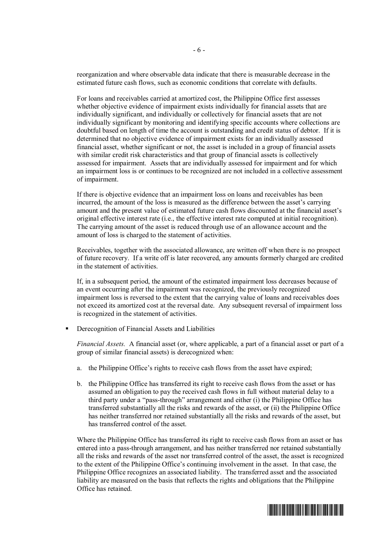reorganization and where observable data indicate that there is measurable decrease in the estimated future cash flows, such as economic conditions that correlate with defaults.

For loans and receivables carried at amortized cost, the Philippine Office first assesses whether objective evidence of impairment exists individually for financial assets that are individually significant, and individually or collectively for financial assets that are not individually significant by monitoring and identifying specific accounts where collections are doubtful based on length of time the account is outstanding and credit status of debtor. If it is determined that no objective evidence of impairment exists for an individually assessed financial asset, whether significant or not, the asset is included in a group of financial assets with similar credit risk characteristics and that group of financial assets is collectively assessed for impairment. Assets that are individually assessed for impairment and for which an impairment loss is or continues to be recognized are not included in a collective assessment of impairment.

If there is objective evidence that an impairment loss on loans and receivables has been incurred, the amount of the loss is measured as the difference between the asset's carrying amount and the present value of estimated future cash flows discounted at the financial asset's original effective interest rate (i.e., the effective interest rate computed at initial recognition). The carrying amount of the asset is reduced through use of an allowance account and the amount of loss is charged to the statement of activities.

Receivables, together with the associated allowance, are written off when there is no prospect of future recovery. If a write off is later recovered, any amounts formerly charged are credited in the statement of activities.

If, in a subsequent period, the amount of the estimated impairment loss decreases because of an event occurring after the impairment was recognized, the previously recognized impairment loss is reversed to the extent that the carrying value of loans and receivables does not exceed its amortized cost at the reversal date. Any subsequent reversal of impairment loss is recognized in the statement of activities.

§ Derecognition of Financial Assets and Liabilities

*Financial Assets.* A financial asset (or, where applicable, a part of a financial asset or part of a group of similar financial assets) is derecognized when:

- a. the Philippine Office's rights to receive cash flows from the asset have expired;
- b. the Philippine Office has transferred its right to receive cash flows from the asset or has assumed an obligation to pay the received cash flows in full without material delay to a third party under a "pass-through" arrangement and either (i) the Philippine Office has transferred substantially all the risks and rewards of the asset, or (ii) the Philippine Office has neither transferred nor retained substantially all the risks and rewards of the asset, but has transferred control of the asset.

Where the Philippine Office has transferred its right to receive cash flows from an asset or has entered into a pass-through arrangement, and has neither transferred nor retained substantially all the risks and rewards of the asset nor transferred control of the asset, the asset is recognized to the extent of the Philippine Office's continuing involvement in the asset. In that case, the Philippine Office recognizes an associated liability. The transferred asset and the associated liability are measured on the basis that reflects the rights and obligations that the Philippine Office has retained.

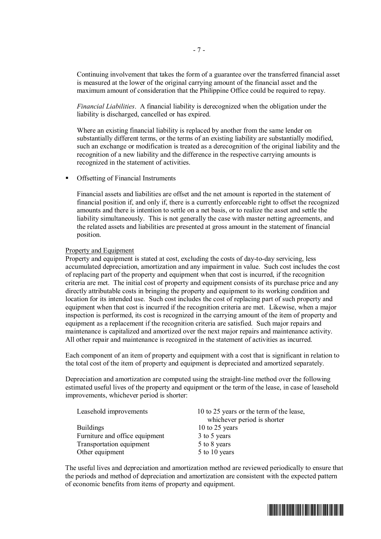Continuing involvement that takes the form of a guarantee over the transferred financial asset is measured at the lower of the original carrying amount of the financial asset and the maximum amount of consideration that the Philippine Office could be required to repay.

*Financial Liabilities*. A financial liability is derecognized when the obligation under the liability is discharged, cancelled or has expired.

Where an existing financial liability is replaced by another from the same lender on substantially different terms, or the terms of an existing liability are substantially modified, such an exchange or modification is treated as a derecognition of the original liability and the recognition of a new liability and the difference in the respective carrying amounts is recognized in the statement of activities.

§ Offsetting of Financial Instruments

Financial assets and liabilities are offset and the net amount is reported in the statement of financial position if, and only if, there is a currently enforceable right to offset the recognized amounts and there is intention to settle on a net basis, or to realize the asset and settle the liability simultaneously. This is not generally the case with master netting agreements, and the related assets and liabilities are presented at gross amount in the statement of financial position.

#### Property and Equipment

Property and equipment is stated at cost, excluding the costs of day-to-day servicing, less accumulated depreciation, amortization and any impairment in value. Such cost includes the cost of replacing part of the property and equipment when that cost is incurred, if the recognition criteria are met. The initial cost of property and equipment consists of its purchase price and any directly attributable costs in bringing the property and equipment to its working condition and location for its intended use. Such cost includes the cost of replacing part of such property and equipment when that cost is incurred if the recognition criteria are met. Likewise, when a major inspection is performed, its cost is recognized in the carrying amount of the item of property and equipment as a replacement if the recognition criteria are satisfied. Such major repairs and maintenance is capitalized and amortized over the next major repairs and maintenance activity. All other repair and maintenance is recognized in the statement of activities as incurred.

Each component of an item of property and equipment with a cost that is significant in relation to the total cost of the item of property and equipment is depreciated and amortized separately.

Depreciation and amortization are computed using the straight-line method over the following estimated useful lives of the property and equipment or the term of the lease, in case of leasehold improvements, whichever period is shorter:

| Leasehold improvements         | 10 to 25 years or the term of the lease,<br>whichever period is shorter |
|--------------------------------|-------------------------------------------------------------------------|
| <b>Buildings</b>               | 10 to 25 years                                                          |
| Furniture and office equipment | 3 to 5 years                                                            |
| Transportation equipment       | 5 to 8 years                                                            |
| Other equipment                | 5 to 10 years                                                           |

The useful lives and depreciation and amortization method are reviewed periodically to ensure that the periods and method of depreciation and amortization are consistent with the expected pattern of economic benefits from items of property and equipment.

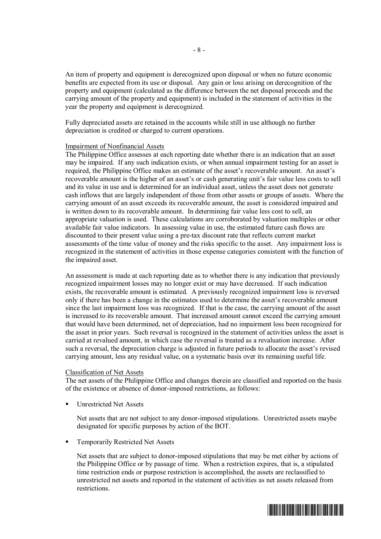An item of property and equipment is derecognized upon disposal or when no future economic benefits are expected from its use or disposal. Any gain or loss arising on derecognition of the property and equipment (calculated as the difference between the net disposal proceeds and the carrying amount of the property and equipment) is included in the statement of activities in the year the property and equipment is derecognized.

Fully depreciated assets are retained in the accounts while still in use although no further depreciation is credited or charged to current operations.

#### Impairment of Nonfinancial Assets

The Philippine Office assesses at each reporting date whether there is an indication that an asset may be impaired. If any such indication exists, or when annual impairment testing for an asset is required, the Philippine Office makes an estimate of the asset's recoverable amount. An asset's recoverable amount is the higher of an asset's or cash generating unit's fair value less costs to sell and its value in use and is determined for an individual asset, unless the asset does not generate cash inflows that are largely independent of those from other assets or groups of assets. Where the carrying amount of an asset exceeds its recoverable amount, the asset is considered impaired and is written down to its recoverable amount. In determining fair value less cost to sell, an appropriate valuation is used. These calculations are corroborated by valuation multiples or other available fair value indicators. In assessing value in use, the estimated future cash flows are discounted to their present value using a pre-tax discount rate that reflects current market assessments of the time value of money and the risks specific to the asset. Any impairment loss is recognized in the statement of activities in those expense categories consistent with the function of the impaired asset.

An assessment is made at each reporting date as to whether there is any indication that previously recognized impairment losses may no longer exist or may have decreased. If such indication exists, the recoverable amount is estimated. A previously recognized impairment loss is reversed only if there has been a change in the estimates used to determine the asset's recoverable amount since the last impairment loss was recognized. If that is the case, the carrying amount of the asset is increased to its recoverable amount. That increased amount cannot exceed the carrying amount that would have been determined, net of depreciation, had no impairment loss been recognized for the asset in prior years. Such reversal is recognized in the statement of activities unless the asset is carried at revalued amount, in which case the reversal is treated as a revaluation increase. After such a reversal, the depreciation charge is adjusted in future periods to allocate the asset's revised carrying amount, less any residual value, on a systematic basis over its remaining useful life.

#### Classification of Net Assets

The net assets of the Philippine Office and changes therein are classified and reported on the basis of the existence or absence of donor-imposed restrictions, as follows:

§ Unrestricted Net Assets

Net assets that are not subject to any donor-imposed stipulations. Unrestricted assets maybe designated for specific purposes by action of the BOT.

§ Temporarily Restricted Net Assets

Net assets that are subject to donor-imposed stipulations that may be met either by actions of the Philippine Office or by passage of time. When a restriction expires, that is, a stipulated time restriction ends or purpose restriction is accomplished, the assets are reclassified to unrestricted net assets and reported in the statement of activities as net assets released from restrictions.

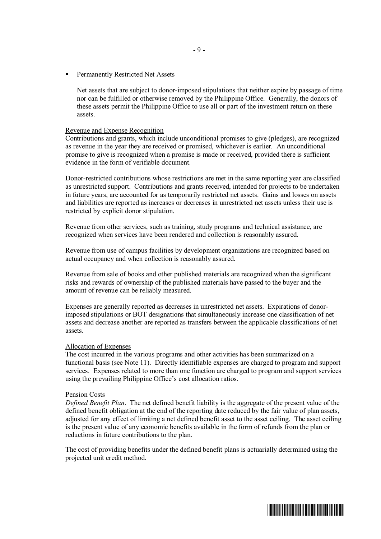§ Permanently Restricted Net Assets

Net assets that are subject to donor-imposed stipulations that neither expire by passage of time nor can be fulfilled or otherwise removed by the Philippine Office. Generally, the donors of these assets permit the Philippine Office to use all or part of the investment return on these assets.

#### Revenue and Expense Recognition

Contributions and grants, which include unconditional promises to give (pledges), are recognized as revenue in the year they are received or promised, whichever is earlier. An unconditional promise to give is recognized when a promise is made or received, provided there is sufficient evidence in the form of verifiable document.

Donor-restricted contributions whose restrictions are met in the same reporting year are classified as unrestricted support. Contributions and grants received, intended for projects to be undertaken in future years, are accounted for as temporarily restricted net assets. Gains and losses on assets and liabilities are reported as increases or decreases in unrestricted net assets unless their use is restricted by explicit donor stipulation.

Revenue from other services, such as training, study programs and technical assistance, are recognized when services have been rendered and collection is reasonably assured.

Revenue from use of campus facilities by development organizations are recognized based on actual occupancy and when collection is reasonably assured.

Revenue from sale of books and other published materials are recognized when the significant risks and rewards of ownership of the published materials have passed to the buyer and the amount of revenue can be reliably measured.

Expenses are generally reported as decreases in unrestricted net assets. Expirations of donorimposed stipulations or BOT designations that simultaneously increase one classification of net assets and decrease another are reported as transfers between the applicable classifications of net assets.

#### Allocation of Expenses

The cost incurred in the various programs and other activities has been summarized on a functional basis (see Note 11). Directly identifiable expenses are charged to program and support services. Expenses related to more than one function are charged to program and support services using the prevailing Philippine Office's cost allocation ratios.

#### Pension Costs

*Defined Benefit Plan*. The net defined benefit liability is the aggregate of the present value of the defined benefit obligation at the end of the reporting date reduced by the fair value of plan assets, adjusted for any effect of limiting a net defined benefit asset to the asset ceiling. The asset ceiling is the present value of any economic benefits available in the form of refunds from the plan or reductions in future contributions to the plan.

The cost of providing benefits under the defined benefit plans is actuarially determined using the projected unit credit method.

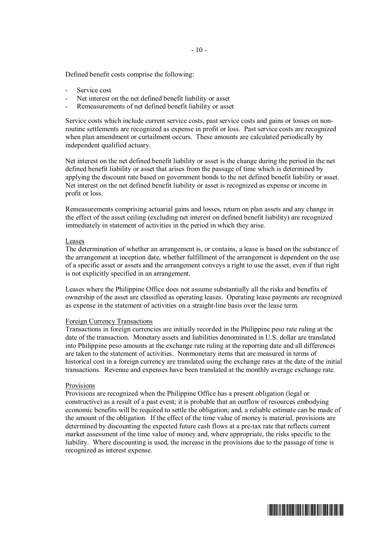Defined benefit costs comprise the following:

- Service cost
- Net interest on the net defined benefit liability or asset
- Remeasurements of net defined benefit liability or asset

Service costs which include current service costs, past service costs and gains or losses on nonroutine settlements are recognized as expense in profit or loss. Past service costs are recognized when plan amendment or curtailment occurs. These amounts are calculated periodically by independent qualified actuary.

Net interest on the net defined benefit liability or asset is the change during the period in the net defined benefit liability or asset that arises from the passage of time which is determined by applying the discount rate based on government bonds to the net defined benefit liability or asset. Net interest on the net defined benefit liability or asset is recognized as expense or income in profit or loss.

Remeasurements comprising actuarial gains and losses, return on plan assets and any change in the effect of the asset ceiling (excluding net interest on defined benefit liability) are recognized immediately in statement of activities in the period in which they arise.

#### Leases

The determination of whether an arrangement is, or contains, a lease is based on the substance of the arrangement at inception date, whether fulfillment of the arrangement is dependent on the use of a specific asset or assets and the arrangement conveys a right to use the asset, even if that right is not explicitly specified in an arrangement.

Leases where the Philippine Office does not assume substantially all the risks and benefits of ownership of the asset are classified as operating leases. Operating lease payments are recognized as expense in the statement of activities on a straight-line basis over the lease term.

#### Foreign Currency Transactions

Transactions in foreign currencies are initially recorded in the Philippine peso rate ruling at the date of the transaction. Monetary assets and liabilities denominated in U.S. dollar are translated into Philippine peso amounts at the exchange rate ruling at the reporting date and all differences are taken to the statement of activities. Nonmonetary items that are measured in terms of historical cost in a foreign currency are translated using the exchange rates at the date of the initial transactions. Revenue and expenses have been translated at the monthly average exchange rate.

#### Provisions

Provisions are recognized when the Philippine Office has a present obligation (legal or constructive) as a result of a past event; it is probable that an outflow of resources embodying economic benefits will be required to settle the obligation; and, a reliable estimate can be made of the amount of the obligation. If the effect of the time value of money is material, provisions are determined by discounting the expected future cash flows at a pre-tax rate that reflects current market assessment of the time value of money and, where appropriate, the risks specific to the liability. Where discounting is used, the increase in the provisions due to the passage of time is recognized as interest expense.

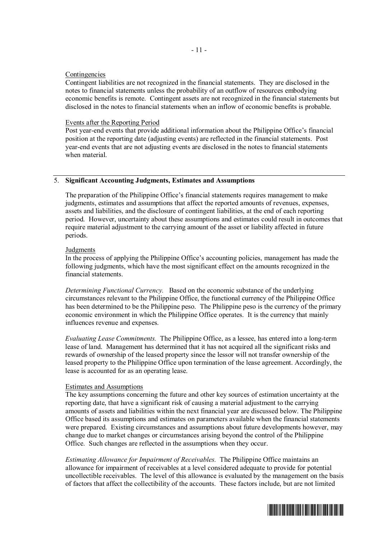#### Contingencies

Contingent liabilities are not recognized in the financial statements. They are disclosed in the notes to financial statements unless the probability of an outflow of resources embodying economic benefits is remote. Contingent assets are not recognized in the financial statements but disclosed in the notes to financial statements when an inflow of economic benefits is probable.

- 11 -

#### Events after the Reporting Period

Post year-end events that provide additional information about the Philippine Office's financial position at the reporting date (adjusting events) are reflected in the financial statements. Post year-end events that are not adjusting events are disclosed in the notes to financial statements when material

## 5. **Significant Accounting Judgments, Estimates and Assumptions**

The preparation of the Philippine Office's financial statements requires management to make judgments, estimates and assumptions that affect the reported amounts of revenues, expenses, assets and liabilities, and the disclosure of contingent liabilities, at the end of each reporting period. However, uncertainty about these assumptions and estimates could result in outcomes that require material adjustment to the carrying amount of the asset or liability affected in future periods.

#### **Judgments**

In the process of applying the Philippine Office's accounting policies, management has made the following judgments, which have the most significant effect on the amounts recognized in the financial statements.

*Determining Functional Currency.* Based on the economic substance of the underlying circumstances relevant to the Philippine Office, the functional currency of the Philippine Office has been determined to be the Philippine peso. The Philippine peso is the currency of the primary economic environment in which the Philippine Office operates. It is the currency that mainly influences revenue and expenses.

*Evaluating Lease Commitments.* The Philippine Office, as a lessee, has entered into a long-term lease of land. Management has determined that it has not acquired all the significant risks and rewards of ownership of the leased property since the lessor will not transfer ownership of the leased property to the Philippine Office upon termination of the lease agreement. Accordingly, the lease is accounted for as an operating lease.

#### Estimates and Assumptions

The key assumptions concerning the future and other key sources of estimation uncertainty at the reporting date, that have a significant risk of causing a material adjustment to the carrying amounts of assets and liabilities within the next financial year are discussed below. The Philippine Office based its assumptions and estimates on parameters available when the financial statements were prepared. Existing circumstances and assumptions about future developments however, may change due to market changes or circumstances arising beyond the control of the Philippine Office. Such changes are reflected in the assumptions when they occur.

*Estimating Allowance for Impairment of Receivables.* The Philippine Office maintains an allowance for impairment of receivables at a level considered adequate to provide for potential uncollectible receivables. The level of this allowance is evaluated by the management on the basis of factors that affect the collectibility of the accounts. These factors include, but are not limited

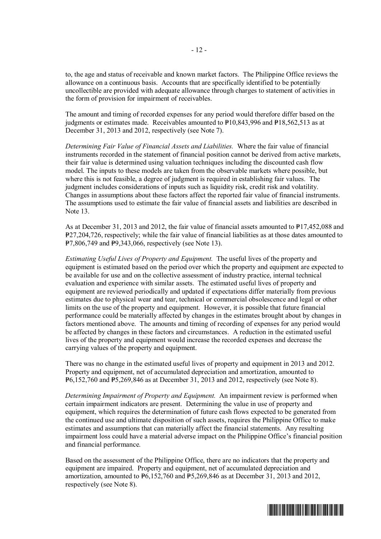to, the age and status of receivable and known market factors. The Philippine Office reviews the allowance on a continuous basis. Accounts that are specifically identified to be potentially uncollectible are provided with adequate allowance through charges to statement of activities in the form of provision for impairment of receivables.

The amount and timing of recorded expenses for any period would therefore differ based on the judgments or estimates made. Receivables amounted to  $P10,843,996$  and  $P18,562,513$  as at December 31, 2013 and 2012, respectively (see Note 7).

*Determining Fair Value of Financial Assets and Liabilities.* Where the fair value of financial instruments recorded in the statement of financial position cannot be derived from active markets, their fair value is determined using valuation techniques including the discounted cash flow model. The inputs to these models are taken from the observable markets where possible, but where this is not feasible, a degree of judgment is required in establishing fair values. The judgment includes considerations of inputs such as liquidity risk, credit risk and volatility. Changes in assumptions about these factors affect the reported fair value of financial instruments. The assumptions used to estimate the fair value of financial assets and liabilities are described in Note 13.

As at December 31, 2013 and 2012, the fair value of financial assets amounted to  $P17,452,088$  and P=27,204,726, respectively; while the fair value of financial liabilities as at those dates amounted to  $P7,806,749$  and  $P9,343,066$ , respectively (see Note 13).

*Estimating Useful Lives of Property and Equipment.* The useful lives of the property and equipment is estimated based on the period over which the property and equipment are expected to be available for use and on the collective assessment of industry practice, internal technical evaluation and experience with similar assets. The estimated useful lives of property and equipment are reviewed periodically and updated if expectations differ materially from previous estimates due to physical wear and tear, technical or commercial obsolescence and legal or other limits on the use of the property and equipment. However, it is possible that future financial performance could be materially affected by changes in the estimates brought about by changes in factors mentioned above. The amounts and timing of recording of expenses for any period would be affected by changes in these factors and circumstances. A reduction in the estimated useful lives of the property and equipment would increase the recorded expenses and decrease the carrying values of the property and equipment.

There was no change in the estimated useful lives of property and equipment in 2013 and 2012. Property and equipment, net of accumulated depreciation and amortization, amounted to  $\overline{P6,152,760}$  and  $\overline{P5,269,846}$  as at December 31, 2013 and 2012, respectively (see Note 8).

*Determining Impairment of Property and Equipment.* An impairment review is performed when certain impairment indicators are present. Determining the value in use of property and equipment, which requires the determination of future cash flows expected to be generated from the continued use and ultimate disposition of such assets, requires the Philippine Office to make estimates and assumptions that can materially affect the financial statements. Any resulting impairment loss could have a material adverse impact on the Philippine Office's financial position and financial performance.

Based on the assessment of the Philippine Office, there are no indicators that the property and equipment are impaired. Property and equipment, net of accumulated depreciation and amortization, amounted to  $\overline{P6}$ ,152,760 and  $\overline{P5}$ ,269,846 as at December 31, 2013 and 2012, respectively (see Note 8).

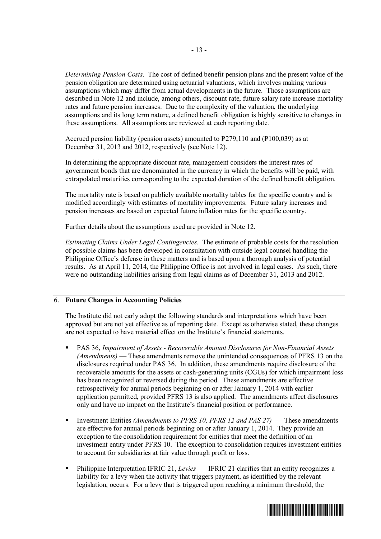*Determining Pension Costs.* The cost of defined benefit pension plans and the present value of the pension obligation are determined using actuarial valuations, which involves making various assumptions which may differ from actual developments in the future. Those assumptions are described in Note 12 and include, among others, discount rate, future salary rate increase mortality rates and future pension increases. Due to the complexity of the valuation, the underlying assumptions and its long term nature, a defined benefit obligation is highly sensitive to changes in these assumptions. All assumptions are reviewed at each reporting date.

Accrued pension liability (pension assets) amounted to  $\text{P279,110}$  and ( $\text{P100,039}$ ) as at December 31, 2013 and 2012, respectively (see Note 12).

In determining the appropriate discount rate, management considers the interest rates of government bonds that are denominated in the currency in which the benefits will be paid, with extrapolated maturities corresponding to the expected duration of the defined benefit obligation.

The mortality rate is based on publicly available mortality tables for the specific country and is modified accordingly with estimates of mortality improvements. Future salary increases and pension increases are based on expected future inflation rates for the specific country.

Further details about the assumptions used are provided in Note 12.

*Estimating Claims Under Legal Contingencies.* The estimate of probable costs for the resolution of possible claims has been developed in consultation with outside legal counsel handling the Philippine Office's defense in these matters and is based upon a thorough analysis of potential results. As at April 11, 2014, the Philippine Office is not involved in legal cases. As such, there were no outstanding liabilities arising from legal claims as of December 31, 2013 and 2012.

#### 6. **Future Changes in Accounting Policies**

The Institute did not early adopt the following standards and interpretations which have been approved but are not yet effective as of reporting date. Except as otherwise stated, these changes are not expected to have material effect on the Institute's financial statements.

- § PAS 36, *Impairment of Assets Recoverable Amount Disclosures for Non-Financial Assets (Amendments)* — These amendments remove the unintended consequences of PFRS 13 on the disclosures required under PAS 36. In addition, these amendments require disclosure of the recoverable amounts for the assets or cash-generating units (CGUs) for which impairment loss has been recognized or reversed during the period. These amendments are effective retrospectively for annual periods beginning on or after January 1, 2014 with earlier application permitted, provided PFRS 13 is also applied. The amendments affect disclosures only and have no impact on the Institute's financial position or performance.
- § Investment Entities *(Amendments to PFRS 10, PFRS 12 and PAS 27)* These amendments are effective for annual periods beginning on or after January 1, 2014. They provide an exception to the consolidation requirement for entities that meet the definition of an investment entity under PFRS 10. The exception to consolidation requires investment entities to account for subsidiaries at fair value through profit or loss.
- § Philippine Interpretation IFRIC 21, *Levies* IFRIC 21 clarifies that an entity recognizes a liability for a levy when the activity that triggers payment, as identified by the relevant legislation, occurs. For a levy that is triggered upon reaching a minimum threshold, the

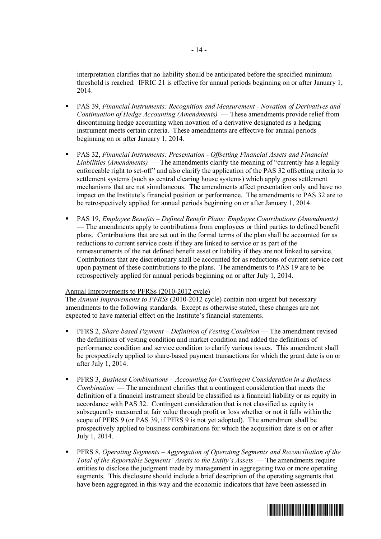interpretation clarifies that no liability should be anticipated before the specified minimum threshold is reached. IFRIC 21 is effective for annual periods beginning on or after January 1, 2014.

- § PAS 39, *Financial Instruments: Recognition and Measurement Novation of Derivatives and Continuation of Hedge Accounting (Amendments)* — These amendments provide relief from discontinuing hedge accounting when novation of a derivative designated as a hedging instrument meets certain criteria. These amendments are effective for annual periods beginning on or after January 1, 2014.
- § PAS 32, *Financial Instruments: Presentation Offsetting Financial Assets and Financial Liabilities (Amendments)* — The amendments clarify the meaning of "currently has a legally enforceable right to set-off" and also clarify the application of the PAS 32 offsetting criteria to settlement systems (such as central clearing house systems) which apply gross settlement mechanisms that are not simultaneous. The amendments affect presentation only and have no impact on the Institute's financial position or performance. The amendments to PAS 32 are to be retrospectively applied for annual periods beginning on or after January 1, 2014.
- § PAS 19, *Employee Benefits Defined Benefit Plans: Employee Contributions (Amendments)* — The amendments apply to contributions from employees or third parties to defined benefit plans. Contributions that are set out in the formal terms of the plan shall be accounted for as reductions to current service costs if they are linked to service or as part of the remeasurements of the net defined benefit asset or liability if they are not linked to service. Contributions that are discretionary shall be accounted for as reductions of current service cost upon payment of these contributions to the plans. The amendments to PAS 19 are to be retrospectively applied for annual periods beginning on or after July 1, 2014.

#### Annual Improvements to PFRSs (2010-2012 cycle)

The *Annual Improvements to PFRSs* (2010-2012 cycle) contain non-urgent but necessary amendments to the following standards. Except as otherwise stated, these changes are not expected to have material effect on the Institute's financial statements.

- § PFRS 2, *Share-based Payment Definition of Vesting Condition* The amendment revised the definitions of vesting condition and market condition and added the definitions of performance condition and service condition to clarify various issues. This amendment shall be prospectively applied to share-based payment transactions for which the grant date is on or after July 1, 2014.
- § PFRS 3, *Business Combinations Accounting for Contingent Consideration in a Business Combination* — The amendment clarifies that a contingent consideration that meets the definition of a financial instrument should be classified as a financial liability or as equity in accordance with PAS 32. Contingent consideration that is not classified as equity is subsequently measured at fair value through profit or loss whether or not it falls within the scope of PFRS 9 (or PAS 39, if PFRS 9 is not yet adopted). The amendment shall be prospectively applied to business combinations for which the acquisition date is on or after July 1, 2014.
- § PFRS 8, *Operating Segments Aggregation of Operating Segments and Reconciliation of the Total of the Reportable Segments' Assets to the Entity's Assets* — The amendments require entities to disclose the judgment made by management in aggregating two or more operating segments. This disclosure should include a brief description of the operating segments that have been aggregated in this way and the economic indicators that have been assessed in

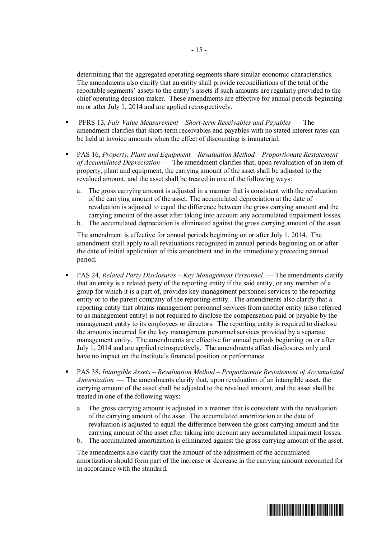determining that the aggregated operating segments share similar economic characteristics. The amendments also clarify that an entity shall provide reconciliations of the total of the reportable segments' assets to the entity's assets if such amounts are regularly provided to the chief operating decision maker. These amendments are effective for annual periods beginning on or after July 1, 2014 and are applied retrospectively.

- § PFRS 13, *Fair Value Measurement Short-term Receivables and Payables* The amendment clarifies that short-term receivables and payables with no stated interest rates can be held at invoice amounts when the effect of discounting is immaterial.
- § PAS 16, *Property, Plant and Equipment Revaluation Method Proportionate Restatement of Accumulated Depreciation* — The amendment clarifies that, upon revaluation of an item of property, plant and equipment, the carrying amount of the asset shall be adjusted to the revalued amount, and the asset shall be treated in one of the following ways:
	- a. The gross carrying amount is adjusted in a manner that is consistent with the revaluation of the carrying amount of the asset. The accumulated depreciation at the date of revaluation is adjusted to equal the difference between the gross carrying amount and the carrying amount of the asset after taking into account any accumulated impairment losses.
	- b. The accumulated depreciation is eliminated against the gross carrying amount of the asset.

The amendment is effective for annual periods beginning on or after July 1, 2014. The amendment shall apply to all revaluations recognized in annual periods beginning on or after the date of initial application of this amendment and in the immediately preceding annual period.

- § PAS 24, *Related Party Disclosures Key Management Personnel* The amendments clarify that an entity is a related party of the reporting entity if the said entity, or any member of a group for which it is a part of, provides key management personnel services to the reporting entity or to the parent company of the reporting entity. The amendments also clarify that a reporting entity that obtains management personnel services from another entity (also referred to as management entity) is not required to disclose the compensation paid or payable by the management entity to its employees or directors. The reporting entity is required to disclose the amounts incurred for the key management personnel services provided by a separate management entity. The amendments are effective for annual periods beginning on or after July 1, 2014 and are applied retrospectively. The amendments affect disclosures only and have no impact on the Institute's financial position or performance.
- § PAS 38, *Intangible Assets Revaluation Method Proportionate Restatement of Accumulated Amortization* — The amendments clarify that, upon revaluation of an intangible asset, the carrying amount of the asset shall be adjusted to the revalued amount, and the asset shall be treated in one of the following ways:
	- a. The gross carrying amount is adjusted in a manner that is consistent with the revaluation of the carrying amount of the asset. The accumulated amortization at the date of revaluation is adjusted to equal the difference between the gross carrying amount and the carrying amount of the asset after taking into account any accumulated impairment losses.
	- b. The accumulated amortization is eliminated against the gross carrying amount of the asset.

The amendments also clarify that the amount of the adjustment of the accumulated amortization should form part of the increase or decrease in the carrying amount accounted for in accordance with the standard.

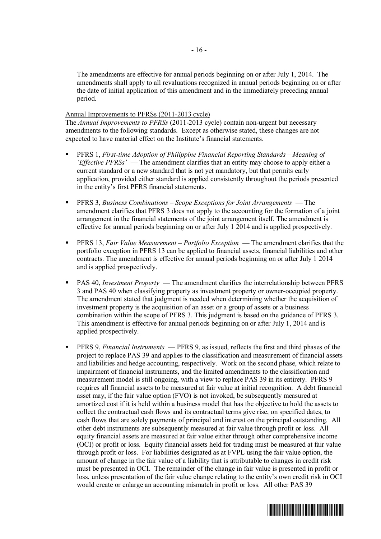The amendments are effective for annual periods beginning on or after July 1, 2014. The amendments shall apply to all revaluations recognized in annual periods beginning on or after the date of initial application of this amendment and in the immediately preceding annual period.

### Annual Improvements to PFRSs (2011-2013 cycle)

The *Annual Improvements to PFRSs* (2011-2013 cycle) contain non-urgent but necessary amendments to the following standards. Except as otherwise stated, these changes are not expected to have material effect on the Institute's financial statements.

- § PFRS 1, *First-time Adoption of Philippine Financial Reporting Standards Meaning of 'Effective PFRSs'* — The amendment clarifies that an entity may choose to apply either a current standard or a new standard that is not yet mandatory, but that permits early application, provided either standard is applied consistently throughout the periods presented in the entity's first PFRS financial statements.
- § PFRS 3, *Business Combinations Scope Exceptions for Joint Arrangements* The amendment clarifies that PFRS 3 does not apply to the accounting for the formation of a joint arrangement in the financial statements of the joint arrangement itself. The amendment is effective for annual periods beginning on or after July 1 2014 and is applied prospectively.
- § PFRS 13, *Fair Value Measurement Portfolio Exception* The amendment clarifies that the portfolio exception in PFRS 13 can be applied to financial assets, financial liabilities and other contracts. The amendment is effective for annual periods beginning on or after July 1 2014 and is applied prospectively.
- § PAS 40, *Investment Property* The amendment clarifies the interrelationship between PFRS 3 and PAS 40 when classifying property as investment property or owner-occupied property. The amendment stated that judgment is needed when determining whether the acquisition of investment property is the acquisition of an asset or a group of assets or a business combination within the scope of PFRS 3. This judgment is based on the guidance of PFRS 3. This amendment is effective for annual periods beginning on or after July 1, 2014 and is applied prospectively.
- § PFRS 9, *Financial Instruments* PFRS 9, as issued, reflects the first and third phases of the project to replace PAS 39 and applies to the classification and measurement of financial assets and liabilities and hedge accounting, respectively. Work on the second phase, which relate to impairment of financial instruments, and the limited amendments to the classification and measurement model is still ongoing, with a view to replace PAS 39 in its entirety. PFRS 9 requires all financial assets to be measured at fair value at initial recognition. A debt financial asset may, if the fair value option (FVO) is not invoked, be subsequently measured at amortized cost if it is held within a business model that has the objective to hold the assets to collect the contractual cash flows and its contractual terms give rise, on specified dates, to cash flows that are solely payments of principal and interest on the principal outstanding. All other debt instruments are subsequently measured at fair value through profit or loss. All equity financial assets are measured at fair value either through other comprehensive income (OCI) or profit or loss. Equity financial assets held for trading must be measured at fair value through profit or loss. For liabilities designated as at FVPL using the fair value option, the amount of change in the fair value of a liability that is attributable to changes in credit risk must be presented in OCI. The remainder of the change in fair value is presented in profit or loss, unless presentation of the fair value change relating to the entity's own credit risk in OCI would create or enlarge an accounting mismatch in profit or loss. All other PAS 39

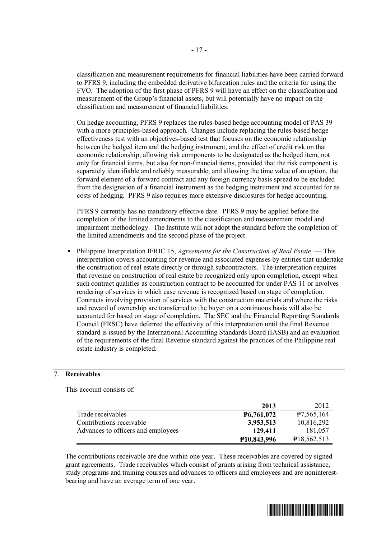classification and measurement requirements for financial liabilities have been carried forward to PFRS 9, including the embedded derivative bifurcation rules and the criteria for using the FVO. The adoption of the first phase of PFRS 9 will have an effect on the classification and measurement of the Group's financial assets, but will potentially have no impact on the classification and measurement of financial liabilities.

On hedge accounting, PFRS 9 replaces the rules-based hedge accounting model of PAS 39 with a more principles-based approach. Changes include replacing the rules-based hedge effectiveness test with an objectives-based test that focuses on the economic relationship between the hedged item and the hedging instrument, and the effect of credit risk on that economic relationship; allowing risk components to be designated as the hedged item, not only for financial items, but also for non-financial items, provided that the risk component is separately identifiable and reliably measurable; and allowing the time value of an option, the forward element of a forward contract and any foreign currency basis spread to be excluded from the designation of a financial instrument as the hedging instrument and accounted for as costs of hedging. PFRS 9 also requires more extensive disclosures for hedge accounting.

PFRS 9 currently has no mandatory effective date. PFRS 9 may be applied before the completion of the limited amendments to the classification and measurement model and impairment methodology. The Institute will not adopt the standard before the completion of the limited amendments and the second phase of the project.

§ Philippine Interpretation IFRIC 15, *Agreements for the Construction of Real Estate* — This interpretation covers accounting for revenue and associated expenses by entities that undertake the construction of real estate directly or through subcontractors. The interpretation requires that revenue on construction of real estate be recognized only upon completion, except when such contract qualifies as construction contract to be accounted for under PAS 11 or involves rendering of services in which case revenue is recognized based on stage of completion. Contracts involving provision of services with the construction materials and where the risks and reward of ownership are transferred to the buyer on a continuous basis will also be accounted for based on stage of completion. The SEC and the Financial Reporting Standards Council (FRSC) have deferred the effectivity of this interpretation until the final Revenue standard is issued by the International Accounting Standards Board (IASB) and an evaluation of the requirements of the final Revenue standard against the practices of the Philippine real estate industry is completed.

#### 7. **Receivables**

This account consists of:

|                                    | 2013                     | 2012                       |
|------------------------------------|--------------------------|----------------------------|
| Trade receivables                  | P6,761,072               | 47,565,164                 |
| Contributions receivable           | 3,953,513                | 10,816,292                 |
| Advances to officers and employees | 129.411                  | 181,057                    |
|                                    | P <sub>10</sub> ,843,996 | P <sub>18</sub> , 562, 513 |

The contributions receivable are due within one year. These receivables are covered by signed grant agreements. Trade receivables which consist of grants arising from technical assistance, study programs and training courses and advances to officers and employees and are noninterestbearing and have an average term of one year.

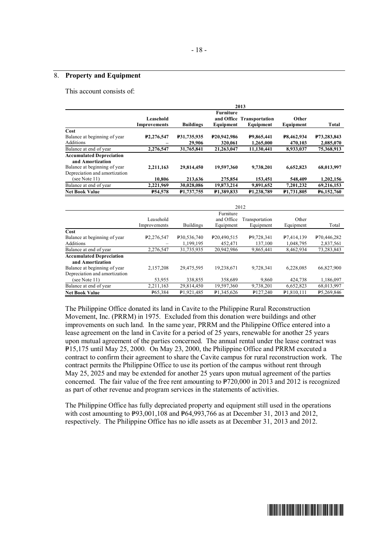#### 8. **Property and Equipment**

This account consists of:

|                                                                                                                      |                                  |                       |                                     | 2013                                   |                              |                          |
|----------------------------------------------------------------------------------------------------------------------|----------------------------------|-----------------------|-------------------------------------|----------------------------------------|------------------------------|--------------------------|
|                                                                                                                      | Leasehold<br><b>Improvements</b> | <b>Buildings</b>      | <b>Furniture</b><br>Equipment       | and Office Transportation<br>Equipment | Other<br>Equipment           | <b>Total</b>             |
| Cost                                                                                                                 |                                  |                       |                                     |                                        |                              |                          |
| Balance at beginning of year<br>Additions                                                                            | P2.276.547                       | P31.735.935<br>29,906 | P <sub>20</sub> ,942,986<br>320,061 | P9.865.441<br>1,265,000                | <b>P8.462.934</b><br>470,103 | P73,283,843<br>2,085,070 |
| Balance at end of year                                                                                               | 2,276,547                        | 31,765,841            | 21.263.047                          | 11.130.441                             | 8,933,037                    | 75,368,913               |
| <b>Accumulated Depreciation</b><br>and Amortization<br>Balance at beginning of year<br>Depreciation and amortization | 2,211,163                        | 29.814.450            | 19,597,360                          | 9,738,201                              | 6,652,823                    | 68,013,997               |
| (see Note 11)                                                                                                        | 10.806                           | 213.636               | 275,854                             | 153.451                                | 548,409                      | 1,202,156                |
| Balance at end of year                                                                                               | 2,221,969                        | 30.028.086            | 19,873,214                          | 9,891,652                              | 7,201,232                    | 69,216,153               |
| <b>Net Book Value</b>                                                                                                | <b>P54,578</b>                   | P1,737,755            | P <sub>1,389</sub> ,833             | P1,238,789                             | <b>P1,731,805</b>            | <b>P6,152,760</b>        |

|                                                     | 2012                      |                  |                                      |                             |                        |                          |
|-----------------------------------------------------|---------------------------|------------------|--------------------------------------|-----------------------------|------------------------|--------------------------|
|                                                     | Leasehold<br>Improvements | <b>Buildings</b> | Furniture<br>and Office<br>Equipment | Transportation<br>Equipment | Other<br>Equipment     | Total                    |
| Cost                                                |                           |                  |                                      |                             |                        |                          |
| Balance at beginning of year                        | P <sub>2</sub> ,276,547   | P30,536,740      | P20,490,515                          | P9,728,341                  | P <sub>7.414.139</sub> | P <sub>70</sub> ,446,282 |
| Additions                                           |                           | 1,199,195        | 452,471                              | 137,100                     | 1,048,795              | 2,837,561                |
| Balance at end of year                              | 2,276,547                 | 31,735,935       | 20,942,986                           | 9,865,441                   | 8,462,934              | 73,283,843               |
| <b>Accumulated Depreciation</b><br>and Amortization |                           |                  |                                      |                             |                        |                          |
| Balance at beginning of year                        | 2,157,208                 | 29,475,595       | 19,238,671                           | 9,728,341                   | 6,228,085              | 66,827,900               |
| Depreciation and amortization                       |                           |                  |                                      |                             |                        |                          |
| (see Note 11)                                       | 53,955                    | 338,855          | 358,689                              | 9,860                       | 424,738                | 1,186,097                |
| Balance at end of year                              | 2,211,163                 | 29,814,450       | 19,597,360                           | 9,738,201                   | 6,652,823              | 68,013,997               |
| <b>Net Book Value</b>                               | P65,384                   | P1,921,485       | P1,345,626                           | P <sub>127,240</sub>        | P <sub>1.810.111</sub> | P5,269,846               |

The Philippine Office donated its land in Cavite to the Philippine Rural Reconstruction Movement, Inc. (PRRM) in 1975. Excluded from this donation were buildings and other improvements on such land. In the same year, PRRM and the Philippine Office entered into a lease agreement on the land in Cavite for a period of 25 years, renewable for another 25 years upon mutual agreement of the parties concerned. The annual rental under the lease contract was =15,175 until May 25, 2000. On May 23, 2000, the Philippine Office and PRRM executed a P contract to confirm their agreement to share the Cavite campus for rural reconstruction work. The contract permits the Philippine Office to use its portion of the campus without rent through May 25, 2025 and may be extended for another 25 years upon mutual agreement of the parties concerned. The fair value of the free rent amounting to  $P720,000$  in 2013 and 2012 is recognized as part of other revenue and program services in the statements of activities.

The Philippine Office has fully depreciated property and equipment still used in the operations with cost amounting to  $P93,001,108$  and  $P64,993,766$  as at December 31, 2013 and 2012, respectively. The Philippine Office has no idle assets as at December 31, 2013 and 2012.

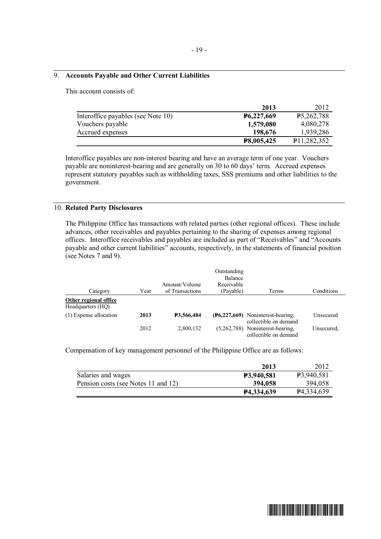## 9. **Accounts Payable and Other Current Liabilities**

This account consists of:

|                                    | 2013                    | 2012                     |
|------------------------------------|-------------------------|--------------------------|
| Interoffice payables (see Note 10) | P <sub>6</sub> ,227,669 | <b>P5,262,788</b>        |
| Vouchers payable                   | 1,579,080               | 4,080,278                |
| Accrued expenses                   | 198,676                 | 1,939,286                |
|                                    | P8,005,425              | P <sub>11,282</sub> ,352 |

Interoffice payables are non-interest bearing and have an average term of one year. Vouchers payable are noninterest-bearing and are generally on 30 to 60 days' term. Accrued expenses represent statutory payables such as withholding taxes, SSS premiums and other liabilities to the government.

### 10. **Related Party Disclosures**

The Philippine Office has transactions with related parties (other regional offices). These include advances, other receivables and payables pertaining to the sharing of expenses among regional offices. Interoffice receivables and payables are included as part of "Receivables" and "Accounts payable and other current liabilities" accounts, respectively, in the statements of financial position (see Notes 7 and 9).

|                                            |      |                   | Outstanding<br><b>Balance</b> |                                                                |            |
|--------------------------------------------|------|-------------------|-------------------------------|----------------------------------------------------------------|------------|
|                                            |      | Amount/Volume     | Receivable                    |                                                                |            |
| Category                                   | Year | of Transactions   | (Payable)                     | Terms                                                          | Conditions |
| Other regional office<br>Headquarters (HO) |      |                   |                               |                                                                |            |
| (1) Expense allocation                     | 2013 | <b>P3,566,484</b> |                               | $(F6, 227, 669)$ Noninterest-bearing,<br>collectible on demand | Unsecured  |
|                                            | 2012 | 2,800,132         | (5,262,788)                   | Noninterest-bearing.<br>collectible on demand                  | Unsecured. |

Compensation of key management personnel of the Philippine Office are as follows:

|                                     | 2013              | 2012                   |
|-------------------------------------|-------------------|------------------------|
| Salaries and wages                  | <b>P3,940,581</b> | P3,940,581             |
| Pension costs (see Notes 11 and 12) | 394,058           | 394,058                |
|                                     | P4,334,639        | P <sub>4</sub> 334,639 |

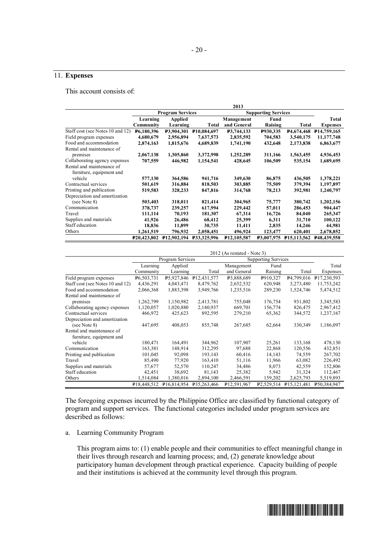## 11. **Expenses**

This account consists of:

|                                  |                    |                          |              | 2013                       |            |                          |                            |
|----------------------------------|--------------------|--------------------------|--------------|----------------------------|------------|--------------------------|----------------------------|
|                                  |                    | <b>Program Services</b>  |              | <b>Supporting Services</b> |            |                          |                            |
|                                  | Learning           | <b>Applied</b>           |              | Management                 | Fund       |                          | Total                      |
|                                  | Community          | Learning                 | <b>Total</b> | and General                | Raising    | <b>Total</b>             | <b>Expenses</b>            |
| Staff cost (see Notes 10 and 12) | <b>P6,180,396</b>  | <b>P3,904,301</b>        | P10,084,697  | <b>P3,744,133</b>          | P930,335   | <b>P4,674,468</b>        | P <sub>14</sub> ,759,165   |
| Field program expenses           | 4,680,679          | 2,956,894                | 7,637,573    | 2,835,592                  | 704,583    | 3,540,175                | 11,177,748                 |
| Food and accommodation           | 2,874,163          | 1,815,676                | 4,689,839    | 1,741,190                  | 432,648    | 2,173,838                | 6,863,677                  |
| Rental and maintenance of        |                    |                          |              |                            |            |                          |                            |
| premises                         | 2,067,138          | 1,305,860                | 3,372,998    | 1,252,289                  | 311,166    | 1,563,455                | 4,936,453                  |
| Collaborating agency expenses    | 707,559            | 446,982                  | 1,154,541    | 428,645                    | 106,509    | 535,154                  | 1,689,695                  |
| Rental and maintenance of        |                    |                          |              |                            |            |                          |                            |
| furniture, equipment and         |                    |                          |              |                            |            |                          |                            |
| vehicle                          | 577,130            | 364,586                  | 941,716      | 349,630                    | 86,875     | 436,505                  | 1,378,221                  |
| Contractual services             | 501,619            | 316,884                  | 818,503      | 303,885                    | 75,509     | 379,394                  | 1,197,897                  |
| Printing and publication         | 519,583            | 328,233                  | 847,816      | 314,768                    | 78,213     | 392,981                  | 1,240,797                  |
| Depreciation and amortization    |                    |                          |              |                            |            |                          |                            |
| (see Note 8)                     | 503,403            | 318,011                  | 821,414      | 304,965                    | 75,777     | 380,742                  | 1,202,156                  |
| Communication                    | 378,737            | 239,257                  | 617,994      | 229,442                    | 57,011     | 286,453                  | 904,447                    |
| Travel                           | 111,114            | 70,193                   | 181,307      | 67,314                     | 16,726     | 84,040                   | 265,347                    |
| Supplies and materials           | 41,926             | 26,486                   | 68,412       | 25,399                     | 6,311      | 31,710                   | 100,122                    |
| Staff education                  | 18,836             | 11,899                   | 30,735       | 11,411                     | 2,835      | 14,246                   | 44,981                     |
| Others                           | 1,261,519          | 796,932                  | 2,058,451    | 496,924                    | 123,477    | 620,401                  | 2,678,852                  |
|                                  | <b>P20,423,802</b> | P <sub>12,902</sub> ,194 | P33,325,996  | P12,105,587                | P3.007.975 | P <sub>15</sub> ,113,562 | P <sub>48</sub> , 439, 558 |

|                                  | 2012 (As restated - Note 3) |                         |                          |                            |                         |                            |             |
|----------------------------------|-----------------------------|-------------------------|--------------------------|----------------------------|-------------------------|----------------------------|-------------|
|                                  |                             | Program Services        |                          | <b>Supporting Services</b> |                         |                            |             |
|                                  | Learning                    | Applied                 |                          | Management                 | Fund                    |                            | Total       |
|                                  | Community                   | Learning                | Total                    | and General                | Raising                 | Total                      | Expenses    |
| Field program expenses           | P6,503,731                  | P <sub>5</sub> ,927,846 | P <sub>12</sub> ,431,577 | P3,888,689                 | P910,327                | P <sub>4</sub> ,799,016    | P17,230,593 |
| Staff cost (see Notes 10 and 12) | 4,436,291                   | 4,043,471               | 8,479,762                | 2,652,532                  | 620,948                 | 3,273,480                  | 11,753,242  |
| Food and accommodation           | 2,066,368                   | 1,883,398               | 3,949,766                | 1,235,516                  | 289,230                 | 1,524,746                  | 5,474,512   |
| Rental and maintenance of        |                             |                         |                          |                            |                         |                            |             |
| premises                         | 1,262,799                   | 1,150,982               | 2,413,781                | 755,048                    | 176,754                 | 931,802                    | 3,345,583   |
| Collaborating agency expenses    | 1,120,057                   | 1,020,880               | 2,140,937                | 669,701                    | 156,774                 | 826,475                    | 2,967,412   |
| Contractual services             | 466,972                     | 425,623                 | 892,595                  | 279,210                    | 65,362                  | 344,572                    | 1,237,167   |
| Depreciation and amortization    |                             |                         |                          |                            |                         |                            |             |
| (see Note 8)                     | 447,695                     | 408,053                 | 855,748                  | 267,685                    | 62,664                  | 330,349                    | 1,186,097   |
| Rental and maintenance of        |                             |                         |                          |                            |                         |                            |             |
| furniture, equipment and         |                             |                         |                          |                            |                         |                            |             |
| vehicle                          | 180,471                     | 164,491                 | 344,962                  | 107,907                    | 25,261                  | 133,168                    | 478,130     |
| Communication                    | 163,381                     | 148,914                 | 312,295                  | 97,688                     | 22,868                  | 120,556                    | 432,851     |
| Printing and publication         | 101,045                     | 92,098                  | 193,143                  | 60,416                     | 14,143                  | 74,559                     | 267,702     |
| Travel                           | 85,490                      | 77,920                  | 163,410                  | 51,116                     | 11,966                  | 63,082                     | 226,492     |
| Supplies and materials           | 57,677                      | 52,570                  | 110,247                  | 34,486                     | 8,073                   | 42,559                     | 152,806     |
| Staff education                  | 42,451                      | 38,692                  | 81,143                   | 25,382                     | 5,942                   | 31,324                     | 112,467     |
| Others                           | 1,514,084                   | 1,380,016               | 2,894,100                | 2,466,591                  | 159,202                 | 2,625,793                  | 5,519,893   |
|                                  | P <sub>18</sub> ,448,512    | P <sub>16,814,954</sub> | P35,263,466              | P <sub>12,591,967</sub>    | P <sub>2</sub> ,529,514 | P <sub>15</sub> , 121, 481 | P50,384,947 |

The foregoing expenses incurred by the Philippine Office are classified by functional category of program and support services. The functional categories included under program services are described as follows:

a. Learning Community Program

This program aims to: (1) enable people and their communities to effect meaningful change in their lives through research and learning process; and, (2) generate knowledge about participatory human development through practical experience. Capacity building of people and their institutions is achieved at the community level through this program.

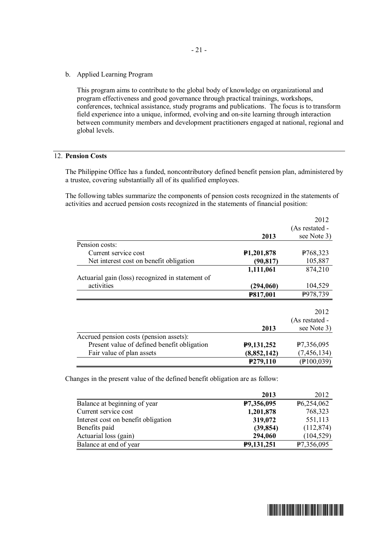b. Applied Learning Program

This program aims to contribute to the global body of knowledge on organizational and program effectiveness and good governance through practical trainings, workshops, conferences, technical assistance, study programs and publications. The focus is to transform field experience into a unique, informed, evolving and on-site learning through interaction between community members and development practitioners engaged at national, regional and global levels.

## 12. **Pension Costs**

The Philippine Office has a funded, noncontributory defined benefit pension plan, administered by a trustee, covering substantially all of its qualified employees.

The following tables summarize the components of pension costs recognized in the statements of activities and accrued pension costs recognized in the statements of financial position:

|                                                  |                         | 2012                   |
|--------------------------------------------------|-------------------------|------------------------|
|                                                  |                         | (As restated -         |
|                                                  | 2013                    | see Note 3)            |
| Pension costs:                                   |                         |                        |
| Current service cost                             | P <sub>1</sub> ,201,878 | P <sub>768</sub> , 323 |
| Net interest cost on benefit obligation          | (90, 817)               | 105,887                |
|                                                  | 1,111,061               | 874,210                |
| Actuarial gain (loss) recognized in statement of |                         |                        |
| activities                                       | (294,060)               | 104,529                |
|                                                  | P817,001                | P978,739               |
|                                                  |                         |                        |
|                                                  |                         | 2012                   |
|                                                  |                         | (As restated -         |
|                                                  | 2013                    | see Note 3)            |
| Accrued pension costs (pension assets):          |                         |                        |
| Present value of defined benefit obligation      | P9,131,252              | P7,356,095             |
| Fair value of plan assets                        | (8,852,142)             | (7, 456, 134)          |
|                                                  | P279,110                | (100, 039)             |

Changes in the present value of the defined benefit obligation are as follow:

|                                     | 2013       | 2012                    |
|-------------------------------------|------------|-------------------------|
| Balance at beginning of year        | P7,356,095 | P <sub>6</sub> ,254,062 |
| Current service cost                | 1,201,878  | 768,323                 |
| Interest cost on benefit obligation | 319,072    | 551,113                 |
| Benefits paid                       | (39, 854)  | (112, 874)              |
| Actuarial loss (gain)               | 294,060    | (104, 529)              |
| Balance at end of year              | P9,131,251 | P7,356,095              |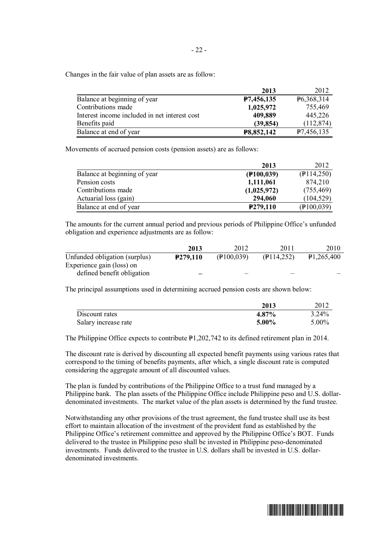Changes in the fair value of plan assets are as follow:

|                                               | 2013       | 2012       |
|-----------------------------------------------|------------|------------|
| Balance at beginning of year                  | P7,456,135 | P6,368,314 |
| Contributions made                            | 1,025,972  | 755,469    |
| Interest income included in net interest cost | 409,889    | 445,226    |
| Benefits paid                                 | (39, 854)  | (112, 874) |
| Balance at end of year                        | P8,852,142 | P7,456,135 |

Movements of accrued pension costs (pension assets) are as follows:

|                              | 2013          | 2012              |
|------------------------------|---------------|-------------------|
| Balance at beginning of year | $($ P100,039) | $($ P114,250)     |
| Pension costs                | 1,111,061     | 874,210           |
| Contributions made           | (1,025,972)   | (755, 469)        |
| Actuarial loss (gain)        | 294,060       | (104, 529)        |
| Balance at end of year       | P279,110      | $($ P $100, 039)$ |

The amounts for the current annual period and previous periods of Philippine Office's unfunded obligation and experience adjustments are as follow:

|                               | 2013                  | 2012       | 2011          | 2010       |
|-------------------------------|-----------------------|------------|---------------|------------|
| Unfunded obligation (surplus) | P <sub>279</sub> ,110 | (100, 039) | $($ P114,252) | P1,265,400 |
| Experience gain (loss) on     |                       |            |               |            |
| defined benefit obligation    | _                     |            |               |            |

The principal assumptions used in determining accrued pension costs are shown below:

|                      | 2013     | 2012     |
|----------------------|----------|----------|
| Discount rates       | 4.87%    | $3.24\%$ |
| Salary increase rate | $5.00\%$ | $5.00\%$ |

The Philippine Office expects to contribute  $P1,202,742$  to its defined retirement plan in 2014.

The discount rate is derived by discounting all expected benefit payments using various rates that correspond to the timing of benefits payments, after which, a single discount rate is computed considering the aggregate amount of all discounted values.

The plan is funded by contributions of the Philippine Office to a trust fund managed by a Philippine bank. The plan assets of the Philippine Office include Philippine peso and U.S. dollardenominated investments. The market value of the plan assets is determined by the fund trustee.

Notwithstanding any other provisions of the trust agreement, the fund trustee shall use its best effort to maintain allocation of the investment of the provident fund as established by the Philippine Office's retirement committee and approved by the Philippine Office's BOT. Funds delivered to the trustee in Philippine peso shall be invested in Philippine peso-denominated investments. Funds delivered to the trustee in U.S. dollars shall be invested in U.S. dollardenominated investments.

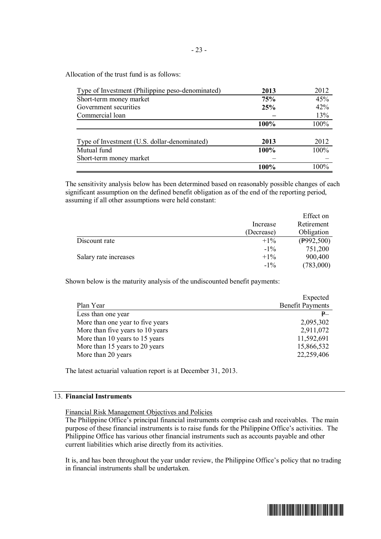Allocation of the trust fund is as follows:

| Type of Investment (Philippine peso-denominated) | 2013        | 2012    |
|--------------------------------------------------|-------------|---------|
| Short-term money market                          | 75%         | 45%     |
| Government securities                            | 25%         | 42%     |
| Commercial loan                                  |             | 13%     |
|                                                  | <b>100%</b> | 100%    |
|                                                  |             |         |
| Type of Investment (U.S. dollar-denominated)     | 2013        | 2012    |
| Mutual fund                                      | 100%        | 100%    |
| Short-term money market                          |             |         |
|                                                  |             | $100\%$ |

The sensitivity analysis below has been determined based on reasonably possible changes of each significant assumption on the defined benefit obligation as of the end of the reporting period, assuming if all other assumptions were held constant:

|                       |            | Effect on            |
|-----------------------|------------|----------------------|
|                       | Increase   | Retirement           |
|                       | (Decrease) | Obligation           |
| Discount rate         | $+1\%$     | $(\text{P992}, 500)$ |
|                       | $-1\%$     | 751,200              |
| Salary rate increases | $+1\%$     | 900,400              |
|                       | $-1\%$     | (783,000)            |

Shown below is the maturity analysis of the undiscounted benefit payments:

|                                  | Expected                |
|----------------------------------|-------------------------|
| Plan Year                        | <b>Benefit Payments</b> |
| Less than one year               | P                       |
| More than one year to five years | 2,095,302               |
| More than five years to 10 years | 2,911,072               |
| More than 10 years to 15 years   | 11,592,691              |
| More than 15 years to 20 years   | 15,866,532              |
| More than 20 years               | 22,259,406              |
|                                  |                         |

The latest actuarial valuation report is at December 31, 2013.

### 13. **Financial Instruments**

Financial Risk Management Objectives and Policies

The Philippine Office's principal financial instruments comprise cash and receivables. The main purpose of these financial instruments is to raise funds for the Philippine Office's activities. The Philippine Office has various other financial instruments such as accounts payable and other current liabilities which arise directly from its activities.

It is, and has been throughout the year under review, the Philippine Office's policy that no trading in financial instruments shall be undertaken.

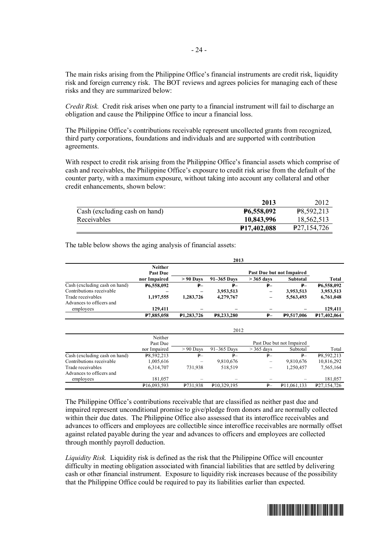The main risks arising from the Philippine Office's financial instruments are credit risk, liquidity risk and foreign currency risk. The BOT reviews and agrees policies for managing each of these risks and they are summarized below:

*Credit Risk.* Credit risk arises when one party to a financial instrument will fail to discharge an obligation and cause the Philippine Office to incur a financial loss.

The Philippine Office's contributions receivable represent uncollected grants from recognized, third party corporations, foundations and individuals and are supported with contribution agreements.

With respect to credit risk arising from the Philippine Office's financial assets which comprise of cash and receivables, the Philippine Office's exposure to credit risk arise from the default of the counter party, with a maximum exposure, without taking into account any collateral and other credit enhancements, shown below:

|                               | 2013                     | 2012                    |
|-------------------------------|--------------------------|-------------------------|
| Cash (excluding cash on hand) | <b>P6,558,092</b>        | P8,592,213              |
| Receivables                   | 10,843,996               | 18,562,513              |
|                               | P <sub>17</sub> ,402,088 | P <sub>27,154,726</sub> |

|                               |                                   |                   | 2013              |              |                           |                          |
|-------------------------------|-----------------------------------|-------------------|-------------------|--------------|---------------------------|--------------------------|
|                               | <b>Neither</b><br><b>Past Due</b> |                   |                   |              | Past Due but not Impaired |                          |
|                               | nor Impaired                      | $> 90$ Days       | 91-365 Days       | $>$ 365 days | <b>Subtotal</b>           | Total                    |
| Cash (excluding cash on hand) | P6,558,092                        | $P -$             | $P-$              | $P -$        | $P -$                     | P6,558,092               |
| Contributions receivable      |                                   |                   | 3,953,513         |              | 3,953,513                 | 3,953,513                |
| Trade receivables             | 1,197,555                         | 1,283,726         | 4,279,767         |              | 5,563,493                 | 6,761,048                |
| Advances to officers and      |                                   |                   |                   |              |                           |                          |
| employees                     | 129,411                           |                   |                   |              |                           | 129,411                  |
|                               | P7,885,058                        | <b>P1,283,726</b> | <b>P8,233,280</b> | ₽–           | P9,517,006                | P <sub>17</sub> ,402,064 |
|                               |                                   |                   | 2012              |              |                           |                          |
|                               | Neither<br>Past Due               |                   |                   |              | Past Due but not Impaired |                          |
|                               | nor Impaired                      | $> 90$ Days       | $91-365$ Days     | $>$ 365 days | Subtotal                  | Total                    |
| Cash (excluding cash on hand) | P8,592,213                        | $P-$              | P                 | $P-$         | $P -$                     | P8,592,213               |
| Contributions receivable      | 1,005,616                         |                   | 9,810,676         | -            | 9,810,676                 | 10,816,292               |
| Trade receivables             | 6,314,707                         | 731,938           | 518,519           | -            | 1,250,457                 | 7,565,164                |
| Advances to officers and      |                                   |                   |                   |              |                           |                          |
| employees                     | 181,057                           |                   |                   |              |                           | 181,057                  |
|                               | P <sub>16</sub> ,093,593          | P731,938          | P10,329,195       | $P-$         | P <sub>11,061,133</sub>   | P <sub>27,154,726</sub>  |

The table below shows the aging analysis of financial assets:

The Philippine Office's contributions receivable that are classified as neither past due and impaired represent unconditional promise to give/pledge from donors and are normally collected within their due dates. The Philippine Office also assessed that its interoffice receivables and advances to officers and employees are collectible since interoffice receivables are normally offset against related payable during the year and advances to officers and employees are collected through monthly payroll deduction.

*Liquidity Risk.* Liquidity risk is defined as the risk that the Philippine Office will encounter difficulty in meeting obligation associated with financial liabilities that are settled by delivering cash or other financial instrument. Exposure to liquidity risk increases because of the possibility that the Philippine Office could be required to pay its liabilities earlier than expected.

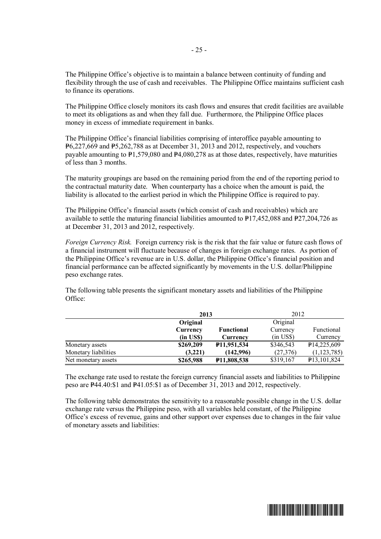The Philippine Office's objective is to maintain a balance between continuity of funding and flexibility through the use of cash and receivables. The Philippine Office maintains sufficient cash to finance its operations.

The Philippine Office closely monitors its cash flows and ensures that credit facilities are available to meet its obligations as and when they fall due. Furthermore, the Philippine Office places money in excess of immediate requirement in banks.

The Philippine Office's financial liabilities comprising of interoffice payable amounting to  $P_{6,227,669}$  and  $P_{5,262,788}$  as at December 31, 2013 and 2012, respectively, and vouchers payable amounting to  $P1,579,080$  and  $P4,080,278$  as at those dates, respectively, have maturities of less than 3 months.

The maturity groupings are based on the remaining period from the end of the reporting period to the contractual maturity date. When counterparty has a choice when the amount is paid, the liability is allocated to the earliest period in which the Philippine Office is required to pay.

The Philippine Office's financial assets (which consist of cash and receivables) which are available to settle the maturing financial liabilities amounted to  $P17,452,088$  and  $P27,204,726$  as at December 31, 2013 and 2012, respectively.

*Foreign Currency Risk.* Foreign currency risk is the risk that the fair value or future cash flows of a financial instrument will fluctuate because of changes in foreign exchange rates. As portion of the Philippine Office's revenue are in U.S. dollar, the Philippine Office's financial position and financial performance can be affected significantly by movements in the U.S. dollar/Philippine peso exchange rates.

The following table presents the significant monetary assets and liabilities of the Philippine Office:

|                      | 2013           |                    | 2012                |                            |
|----------------------|----------------|--------------------|---------------------|----------------------------|
|                      | Original       |                    | Original            |                            |
|                      | Currency       | <b>Functional</b>  | Currency            | Functional                 |
|                      | $(in$ US\$ $)$ | Currency           | $(in \text{ US}\$)$ | Currency                   |
| Monetary assets      | \$269,209      | P11,951,534        | \$346,543           | P <sub>14,225,609</sub>    |
| Monetary liabilities | (3,221)        | (142,996)          | (27,376)            | (1,123,785)                |
| Net monetary assets  | \$265,988      | <b>P11,808,538</b> | \$319,167           | P <sub>13</sub> , 101, 824 |

The exchange rate used to restate the foreign currency financial assets and liabilities to Philippine peso are  $\text{P44.40:}\$1$  and  $\text{P41.05:}\$1$  as of December 31, 2013 and 2012, respectively.

The following table demonstrates the sensitivity to a reasonable possible change in the U.S. dollar exchange rate versus the Philippine peso, with all variables held constant, of the Philippine Office's excess of revenue, gains and other support over expenses due to changes in the fair value of monetary assets and liabilities:

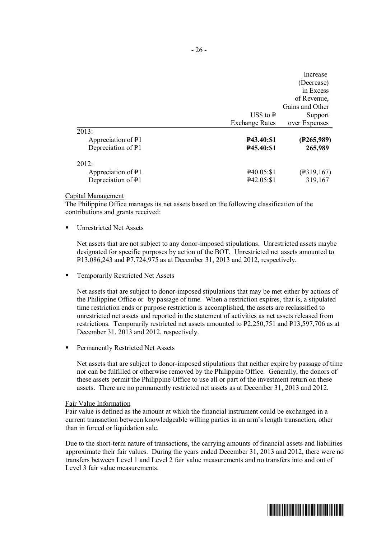|                               |                        | Increase                |
|-------------------------------|------------------------|-------------------------|
|                               |                        | (Decrease)              |
|                               |                        | in Excess               |
|                               |                        | of Revenue,             |
|                               |                        | Gains and Other         |
|                               | US\$ to $\overline{P}$ | Support                 |
|                               | <b>Exchange Rates</b>  | over Expenses           |
| 2013:                         |                        |                         |
| Appreciation of $\frac{1}{2}$ | <b>P43.40:S1</b>       | (P265,989)              |
| Depreciation of P1            | P45.40:\$1             | 265,989                 |
| 2012:                         |                        |                         |
| Appreciation of $\frac{1}{2}$ | $\textbf{P}40.05: \$1$ | $(\frac{1}{2}319, 167)$ |
| Depreciation of P1            | P42.05:\$1             | 319,167                 |

#### Capital Management

The Philippine Office manages its net assets based on the following classification of the contributions and grants received:

§ Unrestricted Net Assets

Net assets that are not subject to any donor-imposed stipulations. Unrestricted assets maybe designated for specific purposes by action of the BOT. Unrestricted net assets amounted to  $P13,086,243$  and  $P7,724,975$  as at December 31, 2013 and 2012, respectively.

§ Temporarily Restricted Net Assets

Net assets that are subject to donor-imposed stipulations that may be met either by actions of the Philippine Office or by passage of time. When a restriction expires, that is, a stipulated time restriction ends or purpose restriction is accomplished, the assets are reclassified to unrestricted net assets and reported in the statement of activities as net assets released from restrictions. Temporarily restricted net assets amounted to  $P2,250,751$  and  $P13,597,706$  as at December 31, 2013 and 2012, respectively.

§ Permanently Restricted Net Assets

Net assets that are subject to donor-imposed stipulations that neither expire by passage of time nor can be fulfilled or otherwise removed by the Philippine Office. Generally, the donors of these assets permit the Philippine Office to use all or part of the investment return on these assets. There are no permanently restricted net assets as at December 31, 2013 and 2012.

#### Fair Value Information

Fair value is defined as the amount at which the financial instrument could be exchanged in a current transaction between knowledgeable willing parties in an arm's length transaction, other than in forced or liquidation sale.

Due to the short-term nature of transactions, the carrying amounts of financial assets and liabilities approximate their fair values. During the years ended December 31, 2013 and 2012, there were no transfers between Level 1 and Level 2 fair value measurements and no transfers into and out of Level 3 fair value measurements.